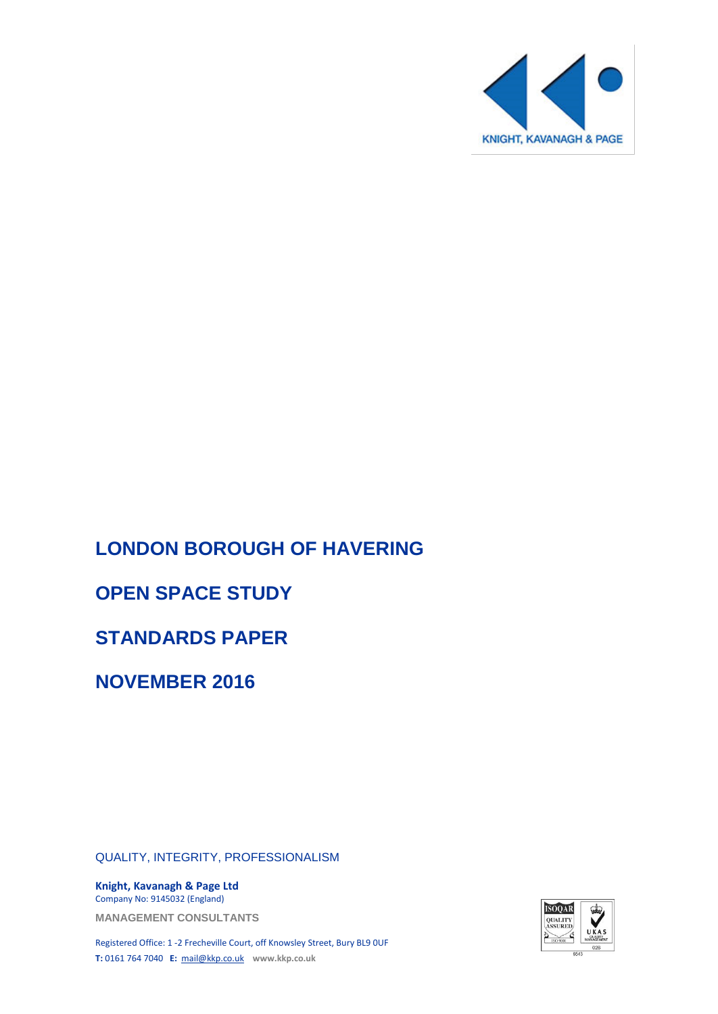

# **LONDON BOROUGH OF HAVERING**

# **OPEN SPACE STUDY**

# **STANDARDS PAPER**

**NOVEMBER 2016**

QUALITY, INTEGRITY, PROFESSIONALISM

**Knight, Kavanagh & Page Ltd** Company No: 9145032 (England)

**MANAGEMENT CONSULTANTS**

Registered Office: 1 -2 Frecheville Court, off Knowsley Street, Bury BL9 0UF **T:** 0161 764 7040 **E:** [mail@kkp.co.uk](mailto:mail@kkp.co.uk) **www.kkp.co.uk**

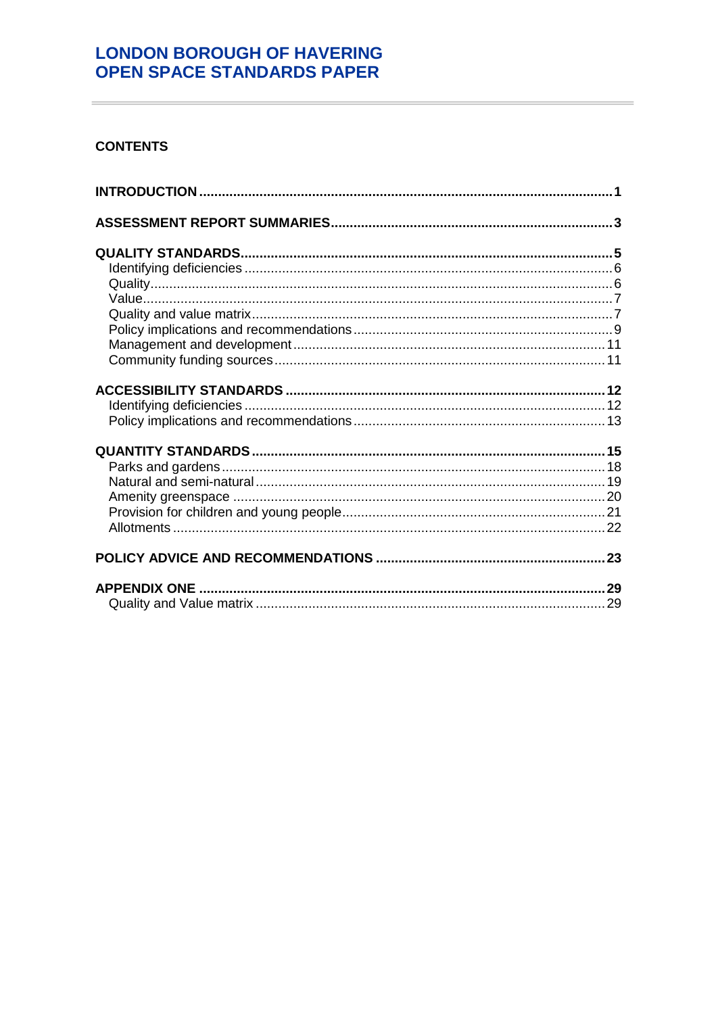### **CONTENTS**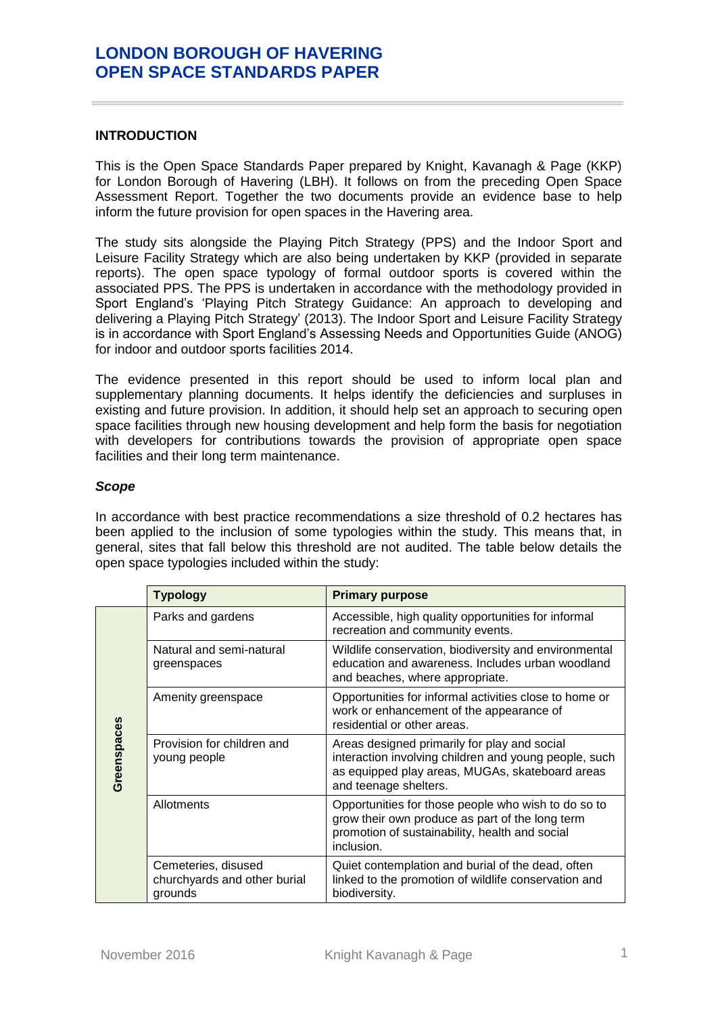### <span id="page-4-0"></span>**INTRODUCTION**

This is the Open Space Standards Paper prepared by Knight, Kavanagh & Page (KKP) for London Borough of Havering (LBH). It follows on from the preceding Open Space Assessment Report. Together the two documents provide an evidence base to help inform the future provision for open spaces in the Havering area.

The study sits alongside the Playing Pitch Strategy (PPS) and the Indoor Sport and Leisure Facility Strategy which are also being undertaken by KKP (provided in separate reports). The open space typology of formal outdoor sports is covered within the associated PPS. The PPS is undertaken in accordance with the methodology provided in Sport England's 'Playing Pitch Strategy Guidance: An approach to developing and delivering a Playing Pitch Strategy' (2013). The Indoor Sport and Leisure Facility Strategy is in accordance with Sport England's Assessing Needs and Opportunities Guide (ANOG) for indoor and outdoor sports facilities 2014.

The evidence presented in this report should be used to inform local plan and supplementary planning documents. It helps identify the deficiencies and surpluses in existing and future provision. In addition, it should help set an approach to securing open space facilities through new housing development and help form the basis for negotiation with developers for contributions towards the provision of appropriate open space facilities and their long term maintenance.

### *Scope*

In accordance with best practice recommendations a size threshold of 0.2 hectares has been applied to the inclusion of some typologies within the study. This means that, in general, sites that fall below this threshold are not audited. The table below details the open space typologies included within the study:

|             | <b>Typology</b>                                                | <b>Primary purpose</b>                                                                                                                                                            |
|-------------|----------------------------------------------------------------|-----------------------------------------------------------------------------------------------------------------------------------------------------------------------------------|
|             | Parks and gardens                                              | Accessible, high quality opportunities for informal<br>recreation and community events.                                                                                           |
|             | Natural and semi-natural<br>greenspaces                        | Wildlife conservation, biodiversity and environmental<br>education and awareness. Includes urban woodland<br>and beaches, where appropriate.                                      |
|             | Amenity greenspace                                             | Opportunities for informal activities close to home or<br>work or enhancement of the appearance of<br>residential or other areas.                                                 |
| Greenspaces | Provision for children and<br>young people                     | Areas designed primarily for play and social<br>interaction involving children and young people, such<br>as equipped play areas, MUGAs, skateboard areas<br>and teenage shelters. |
|             | Allotments                                                     | Opportunities for those people who wish to do so to<br>grow their own produce as part of the long term<br>promotion of sustainability, health and social<br>inclusion.            |
|             | Cemeteries, disused<br>churchyards and other burial<br>grounds | Quiet contemplation and burial of the dead, often<br>linked to the promotion of wildlife conservation and<br>biodiversity.                                                        |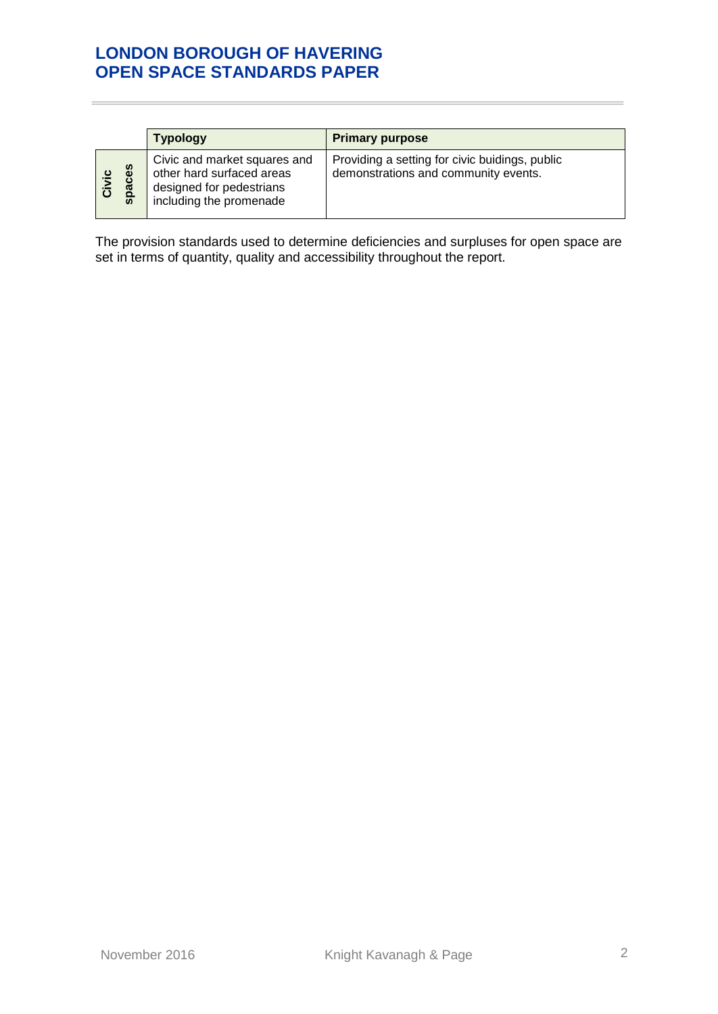|                     | <b>Typology</b>                                                                                                  | <b>Primary purpose</b>                                                                 |
|---------------------|------------------------------------------------------------------------------------------------------------------|----------------------------------------------------------------------------------------|
| δĝ<br>Civic<br>spac | Civic and market squares and<br>other hard surfaced areas<br>designed for pedestrians<br>including the promenade | Providing a setting for civic buidings, public<br>demonstrations and community events. |

The provision standards used to determine deficiencies and surpluses for open space are set in terms of quantity, quality and accessibility throughout the report.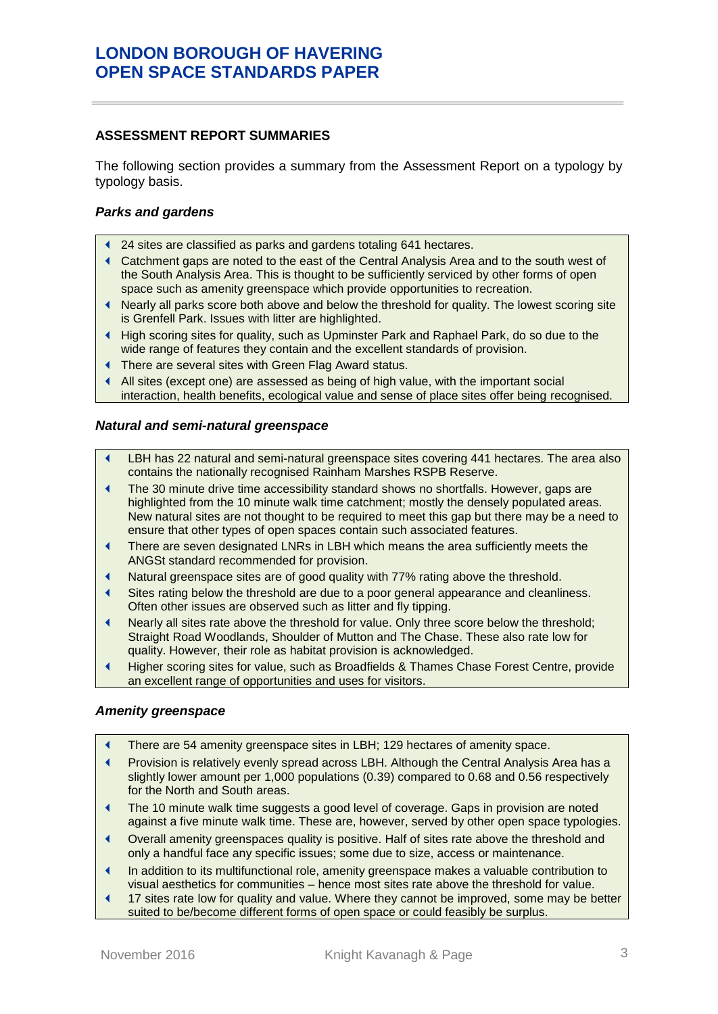#### <span id="page-6-0"></span>**ASSESSMENT REPORT SUMMARIES**

The following section provides a summary from the Assessment Report on a typology by typology basis.

### *Parks and gardens*

- 24 sites are classified as parks and gardens totaling 641 hectares.
- Catchment gaps are noted to the east of the Central Analysis Area and to the south west of the South Analysis Area. This is thought to be sufficiently serviced by other forms of open space such as amenity greenspace which provide opportunities to recreation.
- Nearly all parks score both above and below the threshold for quality. The lowest scoring site is Grenfell Park. Issues with litter are highlighted.
- High scoring sites for quality, such as Upminster Park and Raphael Park, do so due to the wide range of features they contain and the excellent standards of provision.
- There are several sites with Green Flag Award status.
- All sites (except one) are assessed as being of high value, with the important social interaction, health benefits, ecological value and sense of place sites offer being recognised.

#### *Natural and semi-natural greenspace*

- LBH has 22 natural and semi-natural greenspace sites covering 441 hectares. The area also contains the nationally recognised Rainham Marshes RSPB Reserve.
- The 30 minute drive time accessibility standard shows no shortfalls. However, gaps are highlighted from the 10 minute walk time catchment; mostly the densely populated areas. New natural sites are not thought to be required to meet this gap but there may be a need to ensure that other types of open spaces contain such associated features.
- There are seven designated LNRs in LBH which means the area sufficiently meets the ANGSt standard recommended for provision.
- Natural greenspace sites are of good quality with 77% rating above the threshold.
- Sites rating below the threshold are due to a poor general appearance and cleanliness. Often other issues are observed such as litter and fly tipping.
- Nearly all sites rate above the threshold for value. Only three score below the threshold; Straight Road Woodlands, Shoulder of Mutton and The Chase. These also rate low for quality. However, their role as habitat provision is acknowledged.
- Higher scoring sites for value, such as Broadfields & Thames Chase Forest Centre, provide an excellent range of opportunities and uses for visitors.

#### *Amenity greenspace*

- There are 54 amenity greenspace sites in LBH; 129 hectares of amenity space.
- Provision is relatively evenly spread across LBH. Although the Central Analysis Area has a slightly lower amount per 1,000 populations (0.39) compared to 0.68 and 0.56 respectively for the North and South areas.
- The 10 minute walk time suggests a good level of coverage. Gaps in provision are noted against a five minute walk time. These are, however, served by other open space typologies.
- Overall amenity greenspaces quality is positive. Half of sites rate above the threshold and only a handful face any specific issues; some due to size, access or maintenance.
- In addition to its multifunctional role, amenity greenspace makes a valuable contribution to visual aesthetics for communities – hence most sites rate above the threshold for value.
- 17 sites rate low for quality and value. Where they cannot be improved, some may be better suited to be/become different forms of open space or could feasibly be surplus.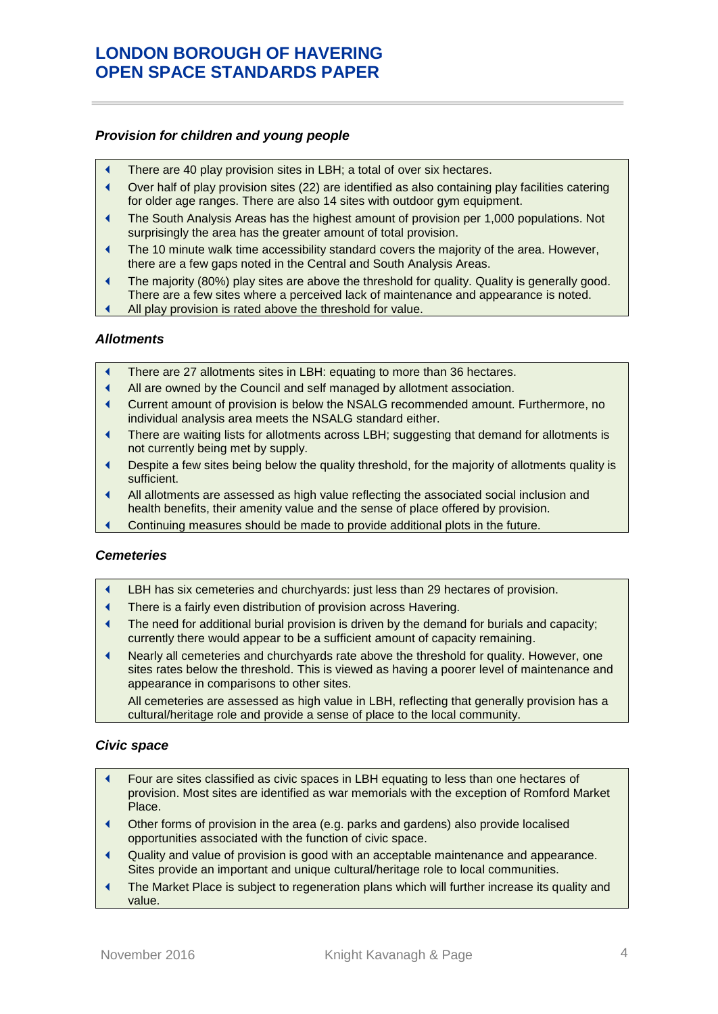#### *Provision for children and young people*

- There are 40 play provision sites in LBH; a total of over six hectares.
- Over half of play provision sites (22) are identified as also containing play facilities catering for older age ranges. There are also 14 sites with outdoor gym equipment.
- The South Analysis Areas has the highest amount of provision per 1,000 populations. Not surprisingly the area has the greater amount of total provision.
- The 10 minute walk time accessibility standard covers the majority of the area. However, there are a few gaps noted in the Central and South Analysis Areas.
- The majority (80%) play sites are above the threshold for quality. Quality is generally good. There are a few sites where a perceived lack of maintenance and appearance is noted.
- All play provision is rated above the threshold for value.

#### *Allotments*

- There are 27 allotments sites in LBH: equating to more than 36 hectares.
- All are owned by the Council and self managed by allotment association.
- Current amount of provision is below the NSALG recommended amount. Furthermore, no individual analysis area meets the NSALG standard either.
- There are waiting lists for allotments across LBH; suggesting that demand for allotments is not currently being met by supply.
- Despite a few sites being below the quality threshold, for the majority of allotments quality is sufficient.
- All allotments are assessed as high value reflecting the associated social inclusion and health benefits, their amenity value and the sense of place offered by provision.
- Continuing measures should be made to provide additional plots in the future.

#### *Cemeteries*

- LBH has six cemeteries and churchyards: just less than 29 hectares of provision.
- There is a fairly even distribution of provision across Havering.
- The need for additional burial provision is driven by the demand for burials and capacity; currently there would appear to be a sufficient amount of capacity remaining.
- Nearly all cemeteries and churchyards rate above the threshold for quality. However, one sites rates below the threshold. This is viewed as having a poorer level of maintenance and appearance in comparisons to other sites.

All cemeteries are assessed as high value in LBH, reflecting that generally provision has a cultural/heritage role and provide a sense of place to the local community.

#### *Civic space*

- Four are sites classified as civic spaces in LBH equating to less than one hectares of provision. Most sites are identified as war memorials with the exception of Romford Market Place.
- Other forms of provision in the area (e.g. parks and gardens) also provide localised opportunities associated with the function of civic space.
- Quality and value of provision is good with an acceptable maintenance and appearance. Sites provide an important and unique cultural/heritage role to local communities.
- The Market Place is subject to regeneration plans which will further increase its quality and value.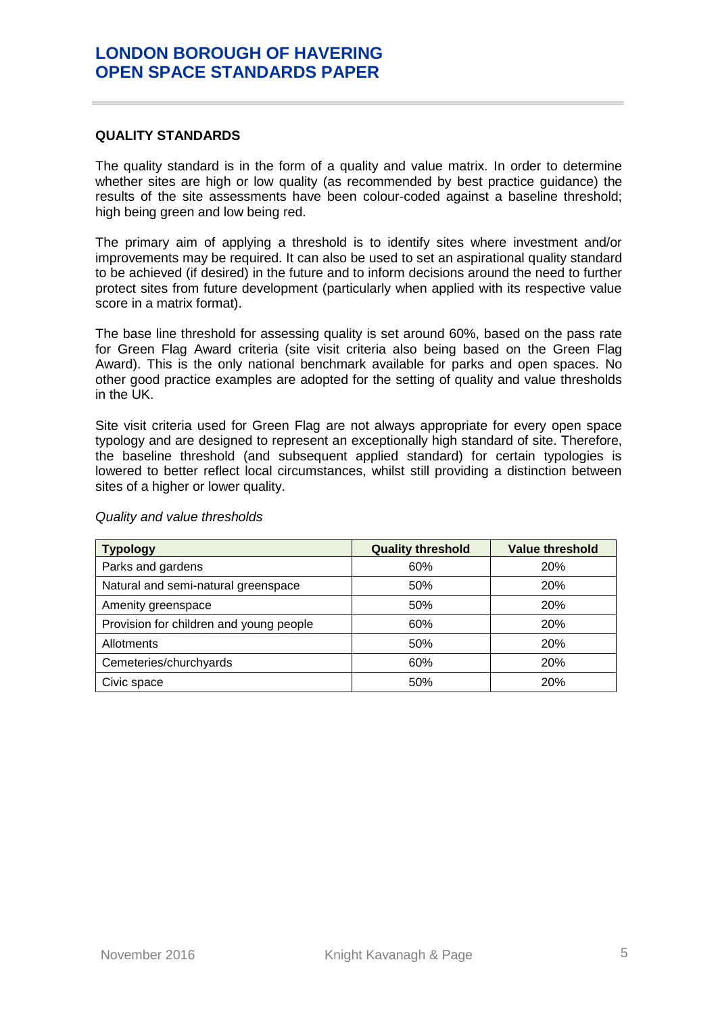#### <span id="page-8-0"></span>**QUALITY STANDARDS**

The quality standard is in the form of a quality and value matrix. In order to determine whether sites are high or low quality (as recommended by best practice guidance) the results of the site assessments have been colour-coded against a baseline threshold; high being green and low being red.

The primary aim of applying a threshold is to identify sites where investment and/or improvements may be required. It can also be used to set an aspirational quality standard to be achieved (if desired) in the future and to inform decisions around the need to further protect sites from future development (particularly when applied with its respective value score in a matrix format).

The base line threshold for assessing quality is set around 60%, based on the pass rate for Green Flag Award criteria (site visit criteria also being based on the Green Flag Award). This is the only national benchmark available for parks and open spaces. No other good practice examples are adopted for the setting of quality and value thresholds in the UK.

Site visit criteria used for Green Flag are not always appropriate for every open space typology and are designed to represent an exceptionally high standard of site. Therefore, the baseline threshold (and subsequent applied standard) for certain typologies is lowered to better reflect local circumstances, whilst still providing a distinction between sites of a higher or lower quality.

<span id="page-8-1"></span>

| <b>Typology</b>                         | <b>Quality threshold</b> | <b>Value threshold</b> |
|-----------------------------------------|--------------------------|------------------------|
| Parks and gardens                       | 60%                      | <b>20%</b>             |
| Natural and semi-natural greenspace     | 50%                      | <b>20%</b>             |
| Amenity greenspace                      | 50%                      | <b>20%</b>             |
| Provision for children and young people | 60%                      | 20%                    |
| Allotments                              | 50%                      | <b>20%</b>             |
| Cemeteries/churchyards                  | 60%                      | 20%                    |
| Civic space                             | 50%                      | <b>20%</b>             |

*Quality and value thresholds*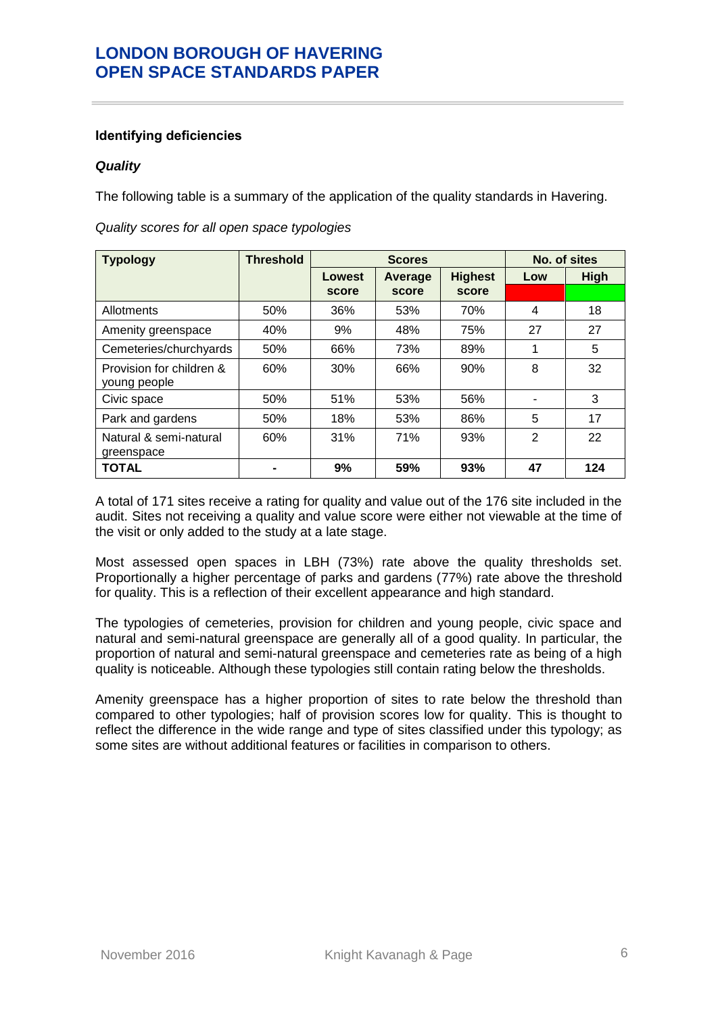### **Identifying deficiencies**

### <span id="page-9-0"></span>*Quality*

The following table is a summary of the application of the quality standards in Havering.

| <b>Typology</b>          | <b>Threshold</b> |        | <b>Scores</b> |                | No. of sites |             |
|--------------------------|------------------|--------|---------------|----------------|--------------|-------------|
|                          |                  | Lowest | Average       | <b>Highest</b> | Low          | <b>High</b> |
|                          |                  | score  | score         | score          |              |             |
| Allotments               | 50%              | 36%    | 53%           | 70%            | 4            | 18          |
| Amenity greenspace       | 40%              | 9%     | 48%           | 75%            | 27           | 27          |
| Cemeteries/churchyards   | 50%              | 66%    | 73%           | 89%            | 1            | 5           |
| Provision for children & | 60%              | 30%    | 66%           | 90%            | 8            | 32          |
| young people             |                  |        |               |                |              |             |
| Civic space              | 50%              | 51%    | 53%           | 56%            |              | 3           |
| Park and gardens         | 50%              | 18%    | 53%           | 86%            | 5            | 17          |
| Natural & semi-natural   | 60%              | 31%    | 71%           | 93%            | 2            | 22          |
| greenspace               |                  |        |               |                |              |             |
| <b>TOTAL</b>             |                  | 9%     | 59%           | 93%            | 47           | 124         |

*Quality scores for all open space typologies*

A total of 171 sites receive a rating for quality and value out of the 176 site included in the audit. Sites not receiving a quality and value score were either not viewable at the time of the visit or only added to the study at a late stage.

Most assessed open spaces in LBH (73%) rate above the quality thresholds set. Proportionally a higher percentage of parks and gardens (77%) rate above the threshold for quality. This is a reflection of their excellent appearance and high standard.

The typologies of cemeteries, provision for children and young people, civic space and natural and semi-natural greenspace are generally all of a good quality. In particular, the proportion of natural and semi-natural greenspace and cemeteries rate as being of a high quality is noticeable. Although these typologies still contain rating below the thresholds.

Amenity greenspace has a higher proportion of sites to rate below the threshold than compared to other typologies; half of provision scores low for quality. This is thought to reflect the difference in the wide range and type of sites classified under this typology; as some sites are without additional features or facilities in comparison to others.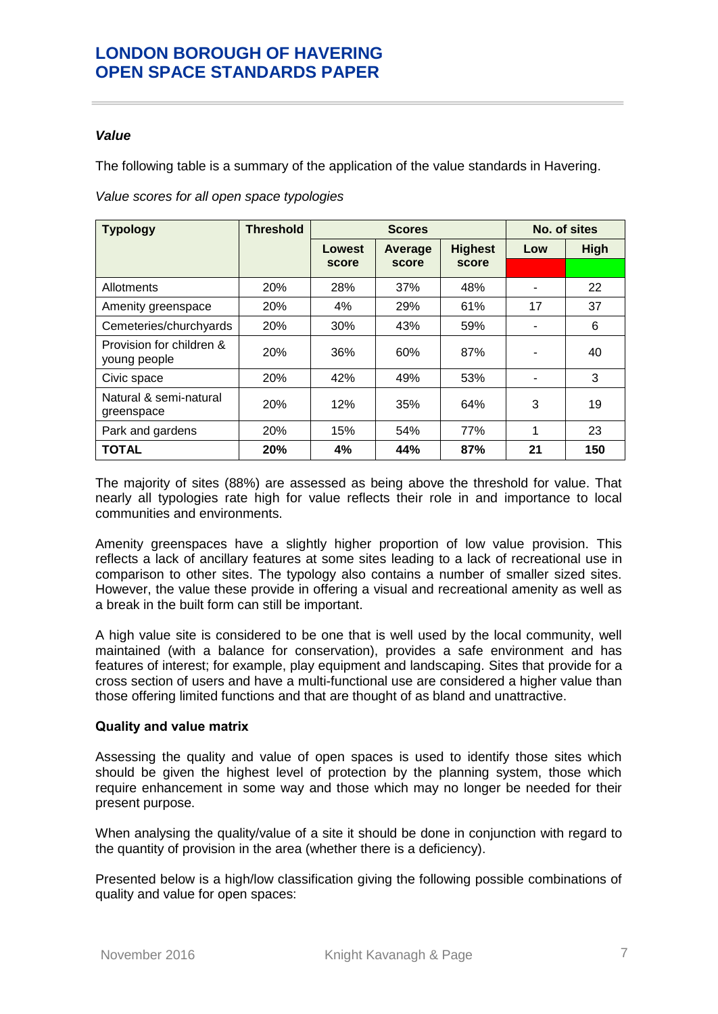### <span id="page-10-0"></span>*Value*

The following table is a summary of the application of the value standards in Havering.

|  | Value scores for all open space typologies |  |
|--|--------------------------------------------|--|
|--|--------------------------------------------|--|

| <b>Typology</b>                          | <b>Threshold</b> |        | <b>Scores</b>             | No. of sites |                |             |
|------------------------------------------|------------------|--------|---------------------------|--------------|----------------|-------------|
|                                          |                  | Lowest | <b>Highest</b><br>Average |              | Low            | <b>High</b> |
|                                          |                  | score  | score                     | score        |                |             |
| Allotments                               | 20%              | 28%    | 37%                       | 48%          | $\blacksquare$ | 22          |
| Amenity greenspace                       | 20%              | 4%     | 29%                       | 61%          | 17             | 37          |
| Cemeteries/churchyards                   | 20%              | 30%    | 43%                       | 59%          |                | 6           |
| Provision for children &<br>young people | 20%              | 36%    | 60%                       | 87%          |                | 40          |
| Civic space                              | 20%              | 42%    | 49%                       | 53%          |                | 3           |
| Natural & semi-natural<br>greenspace     | 20%              | 12%    | 35%                       | 64%          | 3              | 19          |
| Park and gardens                         | 20%              | 15%    | 54%                       | 77%          | 1              | 23          |
| <b>TOTAL</b>                             | 20%              | 4%     | 44%                       | 87%          | 21             | 150         |

The majority of sites (88%) are assessed as being above the threshold for value. That nearly all typologies rate high for value reflects their role in and importance to local communities and environments.

Amenity greenspaces have a slightly higher proportion of low value provision. This reflects a lack of ancillary features at some sites leading to a lack of recreational use in comparison to other sites. The typology also contains a number of smaller sized sites. However, the value these provide in offering a visual and recreational amenity as well as a break in the built form can still be important.

A high value site is considered to be one that is well used by the local community, well maintained (with a balance for conservation), provides a safe environment and has features of interest; for example, play equipment and landscaping. Sites that provide for a cross section of users and have a multi-functional use are considered a higher value than those offering limited functions and that are thought of as bland and unattractive.

### <span id="page-10-1"></span>**Quality and value matrix**

Assessing the quality and value of open spaces is used to identify those sites which should be given the highest level of protection by the planning system, those which require enhancement in some way and those which may no longer be needed for their present purpose.

When analysing the quality/value of a site it should be done in conjunction with regard to the quantity of provision in the area (whether there is a deficiency).

Presented below is a high/low classification giving the following possible combinations of quality and value for open spaces: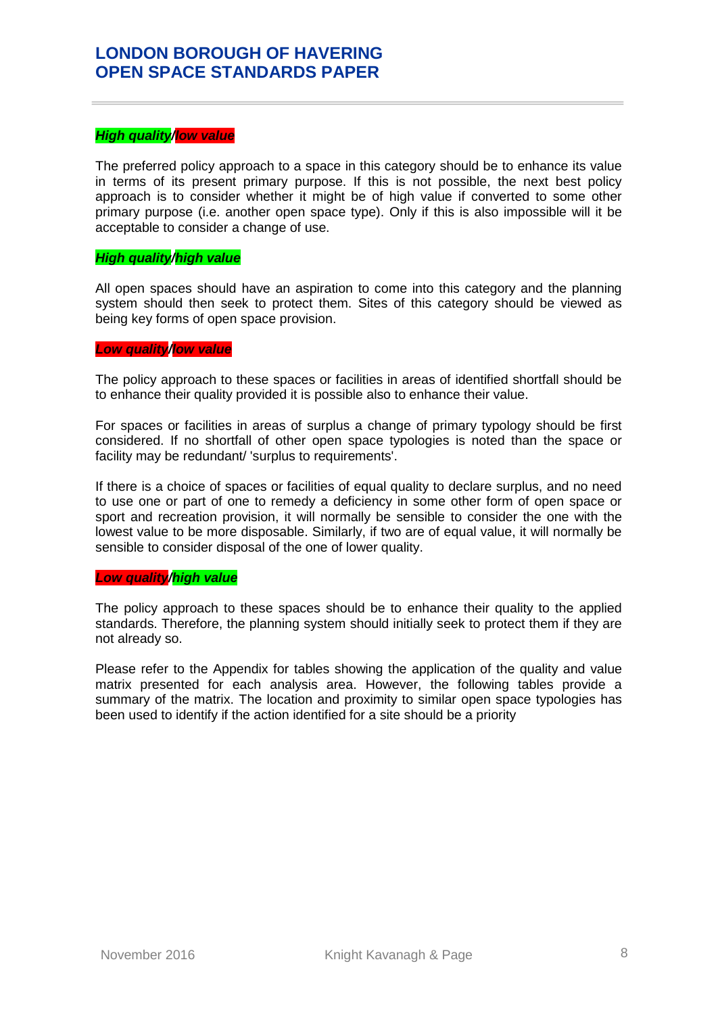### *High quality/low value*

The preferred policy approach to a space in this category should be to enhance its value in terms of its present primary purpose. If this is not possible, the next best policy approach is to consider whether it might be of high value if converted to some other primary purpose (i.e. another open space type). Only if this is also impossible will it be acceptable to consider a change of use.

### *High quality/high value*

All open spaces should have an aspiration to come into this category and the planning system should then seek to protect them. Sites of this category should be viewed as being key forms of open space provision.

### *Low quality/low value*

The policy approach to these spaces or facilities in areas of identified shortfall should be to enhance their quality provided it is possible also to enhance their value.

For spaces or facilities in areas of surplus a change of primary typology should be first considered. If no shortfall of other open space typologies is noted than the space or facility may be redundant/ 'surplus to requirements'.

If there is a choice of spaces or facilities of equal quality to declare surplus, and no need to use one or part of one to remedy a deficiency in some other form of open space or sport and recreation provision, it will normally be sensible to consider the one with the lowest value to be more disposable. Similarly, if two are of equal value, it will normally be sensible to consider disposal of the one of lower quality.

#### *Low quality/high value*

The policy approach to these spaces should be to enhance their quality to the applied standards. Therefore, the planning system should initially seek to protect them if they are not already so.

Please refer to the Appendix for tables showing the application of the quality and value matrix presented for each analysis area. However, the following tables provide a summary of the matrix. The location and proximity to similar open space typologies has been used to identify if the action identified for a site should be a priority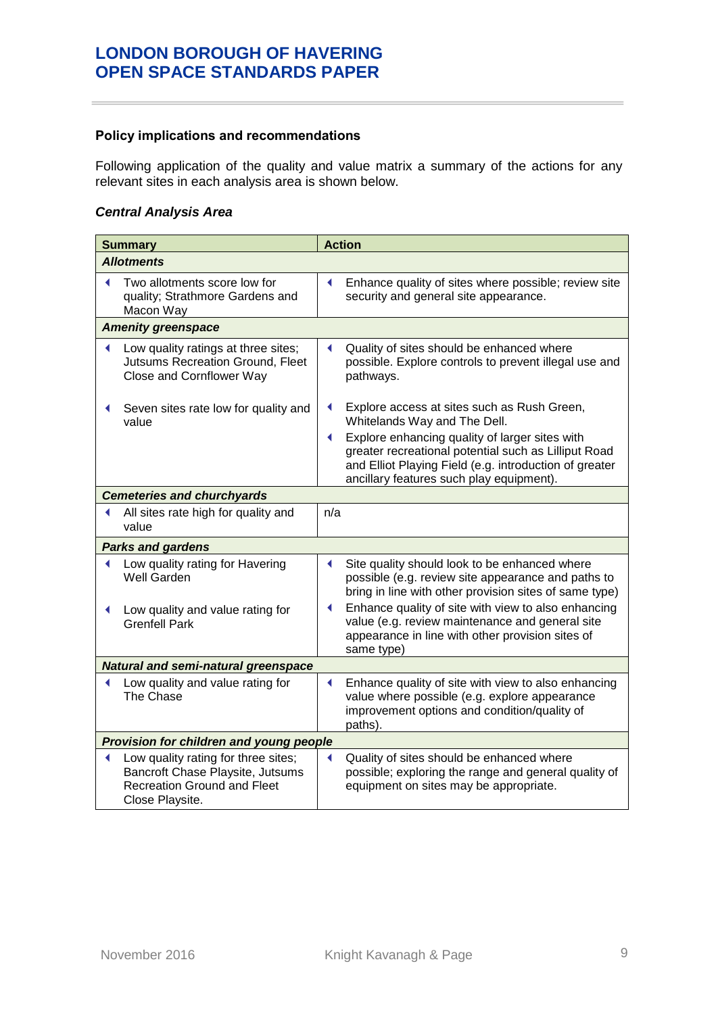### <span id="page-12-0"></span>**Policy implications and recommendations**

Following application of the quality and value matrix a summary of the actions for any relevant sites in each analysis area is shown below.

### *Central Analysis Area*

| <b>Summary</b> |                                                                                                                                  |     | <b>Action</b>                                                                                                                                                                                                |
|----------------|----------------------------------------------------------------------------------------------------------------------------------|-----|--------------------------------------------------------------------------------------------------------------------------------------------------------------------------------------------------------------|
|                | <b>Allotments</b>                                                                                                                |     |                                                                                                                                                                                                              |
|                | Two allotments score low for<br>quality; Strathmore Gardens and<br>Macon Way                                                     | ◀   | Enhance quality of sites where possible; review site<br>security and general site appearance.                                                                                                                |
|                | <b>Amenity greenspace</b>                                                                                                        |     |                                                                                                                                                                                                              |
|                | Low quality ratings at three sites;<br><b>Jutsums Recreation Ground, Fleet</b><br>Close and Cornflower Way                       | ◀   | Quality of sites should be enhanced where<br>possible. Explore controls to prevent illegal use and<br>pathways.                                                                                              |
|                | Seven sites rate low for quality and<br>value                                                                                    |     | Explore access at sites such as Rush Green,<br>Whitelands Way and The Dell.                                                                                                                                  |
|                |                                                                                                                                  | ◀   | Explore enhancing quality of larger sites with<br>greater recreational potential such as Lilliput Road<br>and Elliot Playing Field (e.g. introduction of greater<br>ancillary features such play equipment). |
|                | <b>Cemeteries and churchyards</b>                                                                                                |     |                                                                                                                                                                                                              |
|                | All sites rate high for quality and<br>value                                                                                     | n/a |                                                                                                                                                                                                              |
|                | <b>Parks and gardens</b>                                                                                                         |     |                                                                                                                                                                                                              |
|                | Low quality rating for Havering<br>Well Garden                                                                                   | ◀   | Site quality should look to be enhanced where<br>possible (e.g. review site appearance and paths to<br>bring in line with other provision sites of same type)                                                |
|                | Low quality and value rating for<br><b>Grenfell Park</b>                                                                         |     | Enhance quality of site with view to also enhancing<br>value (e.g. review maintenance and general site<br>appearance in line with other provision sites of<br>same type)                                     |
|                | <b>Natural and semi-natural greenspace</b>                                                                                       |     |                                                                                                                                                                                                              |
|                | Low quality and value rating for<br>The Chase                                                                                    | ◀   | Enhance quality of site with view to also enhancing<br>value where possible (e.g. explore appearance<br>improvement options and condition/quality of<br>paths).                                              |
|                | Provision for children and young people                                                                                          |     |                                                                                                                                                                                                              |
| ◀              | Low quality rating for three sites;<br>Bancroft Chase Playsite, Jutsums<br><b>Recreation Ground and Fleet</b><br>Close Playsite. | ◀   | Quality of sites should be enhanced where<br>possible; exploring the range and general quality of<br>equipment on sites may be appropriate.                                                                  |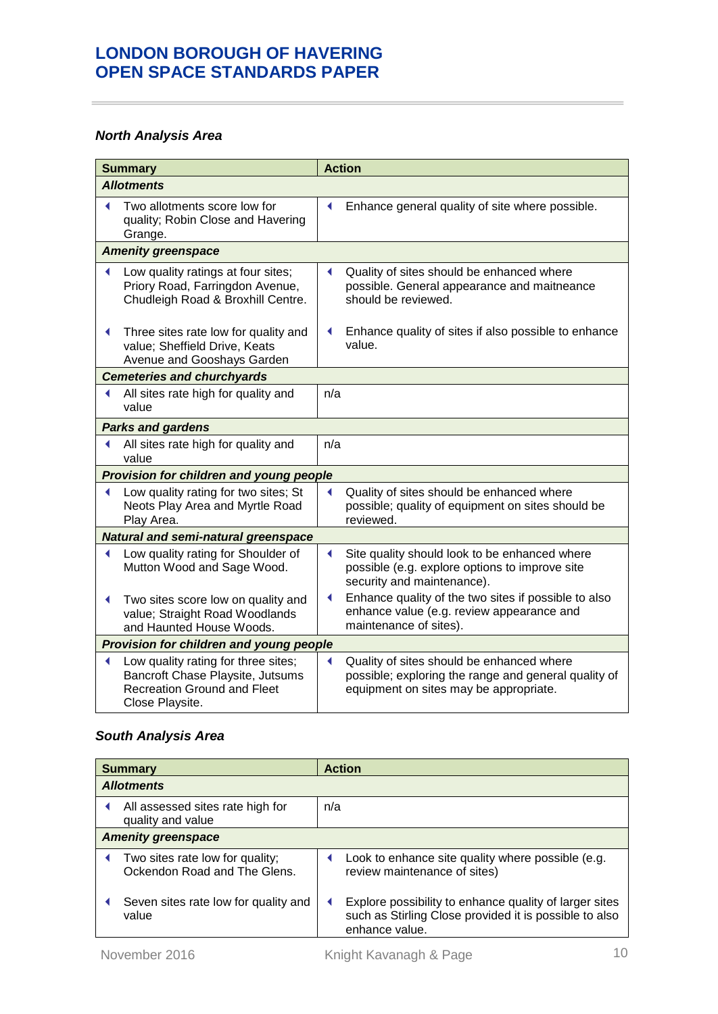## *North Analysis Area*

| <b>Summary</b> |                                                                                                                                  |     | <b>Action</b>                                                                                                                               |
|----------------|----------------------------------------------------------------------------------------------------------------------------------|-----|---------------------------------------------------------------------------------------------------------------------------------------------|
|                | <b>Allotments</b>                                                                                                                |     |                                                                                                                                             |
| ◀              | Two allotments score low for<br>quality; Robin Close and Havering<br>Grange.                                                     | ◀   | Enhance general quality of site where possible.                                                                                             |
|                | <b>Amenity greenspace</b>                                                                                                        |     |                                                                                                                                             |
|                | Low quality ratings at four sites;<br>Priory Road, Farringdon Avenue,<br>Chudleigh Road & Broxhill Centre.                       |     | Quality of sites should be enhanced where<br>possible. General appearance and maitneance<br>should be reviewed.                             |
| ◀              | Three sites rate low for quality and<br>value; Sheffield Drive, Keats<br>Avenue and Gooshays Garden                              |     | Enhance quality of sites if also possible to enhance<br>value.                                                                              |
|                | <b>Cemeteries and churchyards</b>                                                                                                |     |                                                                                                                                             |
| ◀              | All sites rate high for quality and<br>value                                                                                     | n/a |                                                                                                                                             |
|                | <b>Parks and gardens</b>                                                                                                         |     |                                                                                                                                             |
| ◀              | All sites rate high for quality and<br>value                                                                                     | n/a |                                                                                                                                             |
|                | Provision for children and young people                                                                                          |     |                                                                                                                                             |
| ◀              | Low quality rating for two sites; St<br>Neots Play Area and Myrtle Road<br>Play Area.                                            |     | Quality of sites should be enhanced where<br>possible; quality of equipment on sites should be<br>reviewed.                                 |
|                | <b>Natural and semi-natural greenspace</b>                                                                                       |     |                                                                                                                                             |
| ◀              | Low quality rating for Shoulder of<br>Mutton Wood and Sage Wood.                                                                 | ◀   | Site quality should look to be enhanced where<br>possible (e.g. explore options to improve site<br>security and maintenance).               |
| ◀              | Two sites score low on quality and<br>value; Straight Road Woodlands<br>and Haunted House Woods.                                 |     | Enhance quality of the two sites if possible to also<br>enhance value (e.g. review appearance and<br>maintenance of sites).                 |
|                | Provision for children and young people                                                                                          |     |                                                                                                                                             |
| ◀              | Low quality rating for three sites;<br>Bancroft Chase Playsite, Jutsums<br><b>Recreation Ground and Fleet</b><br>Close Playsite. |     | Quality of sites should be enhanced where<br>possible; exploring the range and general quality of<br>equipment on sites may be appropriate. |

## *South Analysis Area*

| <b>Summary</b>            |                                                                 |     | <b>Action</b>                                                                                                                      |  |  |
|---------------------------|-----------------------------------------------------------------|-----|------------------------------------------------------------------------------------------------------------------------------------|--|--|
| <b>Allotments</b>         |                                                                 |     |                                                                                                                                    |  |  |
|                           | All assessed sites rate high for<br>quality and value           | n/a |                                                                                                                                    |  |  |
| <b>Amenity greenspace</b> |                                                                 |     |                                                                                                                                    |  |  |
|                           | Two sites rate low for quality;<br>Ockendon Road and The Glens. |     | Look to enhance site quality where possible (e.g.<br>review maintenance of sites)                                                  |  |  |
|                           | Seven sites rate low for quality and<br>value                   |     | Explore possibility to enhance quality of larger sites<br>such as Stirling Close provided it is possible to also<br>enhance value. |  |  |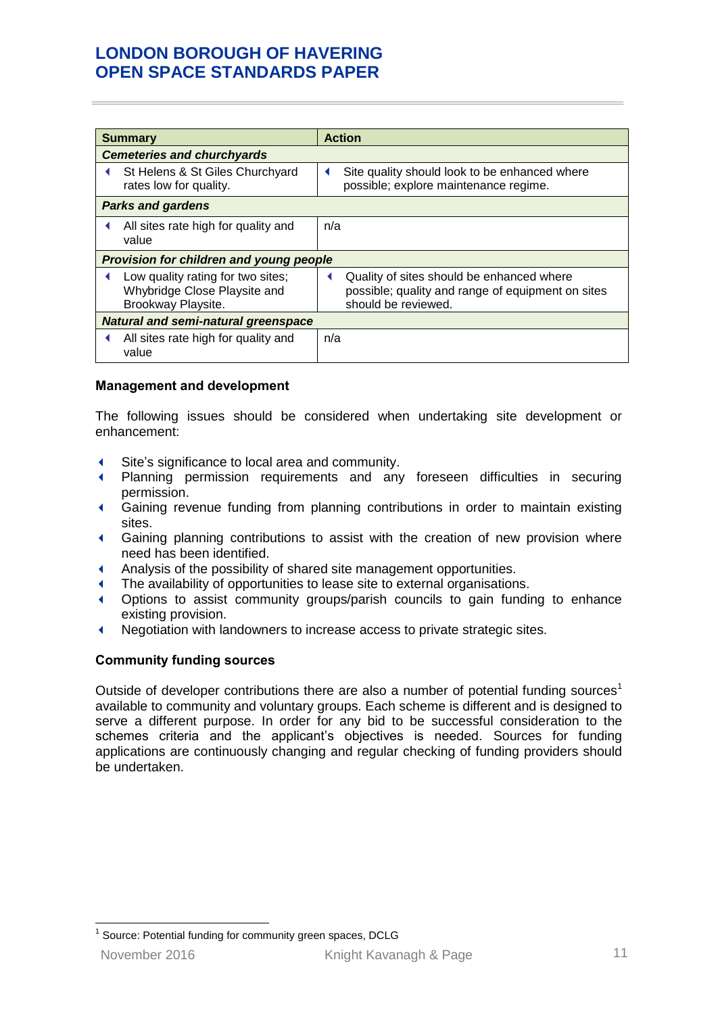| <b>Summary</b>                             |                                                                                         | <b>Action</b> |                                                                                                                       |  |
|--------------------------------------------|-----------------------------------------------------------------------------------------|---------------|-----------------------------------------------------------------------------------------------------------------------|--|
|                                            | <b>Cemeteries and churchyards</b>                                                       |               |                                                                                                                       |  |
|                                            | St Helens & St Giles Churchyard<br>rates low for quality.                               | ◀             | Site quality should look to be enhanced where<br>possible; explore maintenance regime.                                |  |
|                                            | <b>Parks and gardens</b>                                                                |               |                                                                                                                       |  |
|                                            | All sites rate high for quality and<br>value                                            | n/a           |                                                                                                                       |  |
|                                            | Provision for children and young people                                                 |               |                                                                                                                       |  |
| ◀                                          | Low quality rating for two sites;<br>Whybridge Close Playsite and<br>Brookway Playsite. |               | Quality of sites should be enhanced where<br>possible; quality and range of equipment on sites<br>should be reviewed. |  |
| <b>Natural and semi-natural greenspace</b> |                                                                                         |               |                                                                                                                       |  |
| ◀                                          | All sites rate high for quality and<br>value                                            | n/a           |                                                                                                                       |  |

### <span id="page-14-0"></span>**Management and development**

The following issues should be considered when undertaking site development or enhancement:

- Site's significance to local area and community.
- Planning permission requirements and any foreseen difficulties in securing permission.
- Gaining revenue funding from planning contributions in order to maintain existing sites.
- Gaining planning contributions to assist with the creation of new provision where need has been identified.
- Analysis of the possibility of shared site management opportunities.
- The availability of opportunities to lease site to external organisations.
- Options to assist community groups/parish councils to gain funding to enhance existing provision.
- Negotiation with landowners to increase access to private strategic sites.

### <span id="page-14-1"></span>**Community funding sources**

Outside of developer contributions there are also a number of potential funding sources<sup>1</sup> available to community and voluntary groups. Each scheme is different and is designed to serve a different purpose. In order for any bid to be successful consideration to the schemes criteria and the applicant's objectives is needed. Sources for funding applications are continuously changing and regular checking of funding providers should be undertaken.

November 2016 **Knight Kavanagh & Page** 11 1 Source: Potential funding for community green spaces, DCLG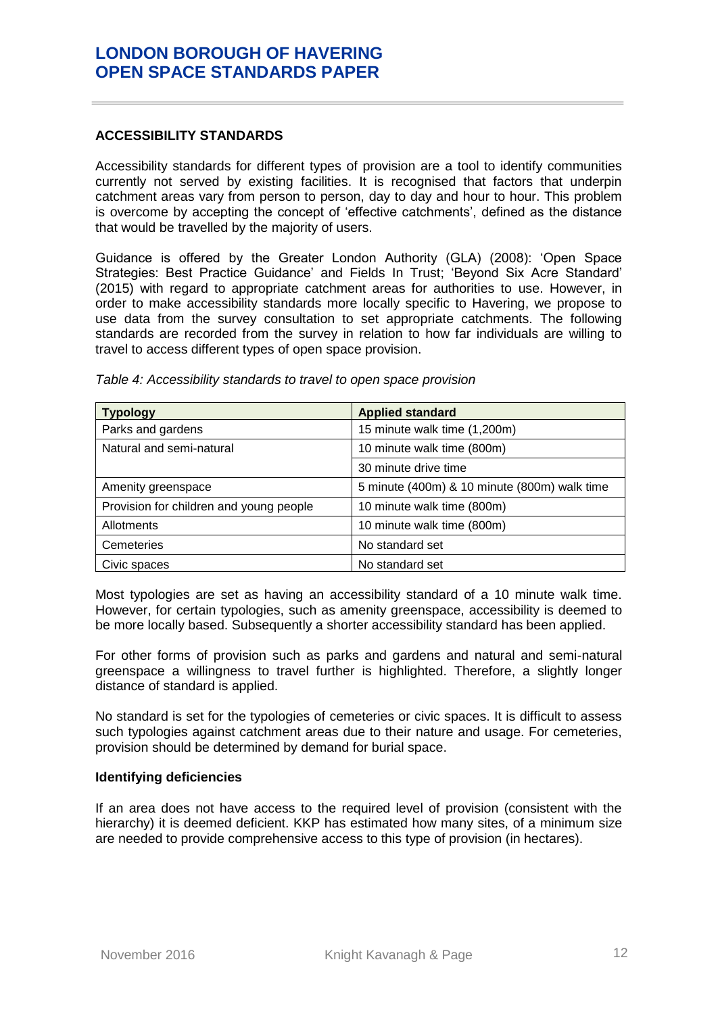### <span id="page-15-0"></span>**ACCESSIBILITY STANDARDS**

Accessibility standards for different types of provision are a tool to identify communities currently not served by existing facilities. It is recognised that factors that underpin catchment areas vary from person to person, day to day and hour to hour. This problem is overcome by accepting the concept of 'effective catchments', defined as the distance that would be travelled by the majority of users.

Guidance is offered by the Greater London Authority (GLA) (2008): 'Open Space Strategies: Best Practice Guidance' and Fields In Trust; 'Beyond Six Acre Standard' (2015) with regard to appropriate catchment areas for authorities to use. However, in order to make accessibility standards more locally specific to Havering, we propose to use data from the survey consultation to set appropriate catchments. The following standards are recorded from the survey in relation to how far individuals are willing to travel to access different types of open space provision.

| <b>Typology</b>                         | <b>Applied standard</b>                      |
|-----------------------------------------|----------------------------------------------|
| Parks and gardens                       | 15 minute walk time (1,200m)                 |
| Natural and semi-natural                | 10 minute walk time (800m)                   |
|                                         | 30 minute drive time                         |
| Amenity greenspace                      | 5 minute (400m) & 10 minute (800m) walk time |
| Provision for children and young people | 10 minute walk time (800m)                   |
| Allotments                              | 10 minute walk time (800m)                   |
| <b>Cemeteries</b>                       | No standard set                              |
| Civic spaces                            | No standard set                              |

*Table 4: Accessibility standards to travel to open space provision*

Most typologies are set as having an accessibility standard of a 10 minute walk time. However, for certain typologies, such as amenity greenspace, accessibility is deemed to be more locally based. Subsequently a shorter accessibility standard has been applied.

For other forms of provision such as parks and gardens and natural and semi-natural greenspace a willingness to travel further is highlighted. Therefore, a slightly longer distance of standard is applied.

No standard is set for the typologies of cemeteries or civic spaces. It is difficult to assess such typologies against catchment areas due to their nature and usage. For cemeteries, provision should be determined by demand for burial space.

#### <span id="page-15-1"></span>**Identifying deficiencies**

If an area does not have access to the required level of provision (consistent with the hierarchy) it is deemed deficient. KKP has estimated how many sites, of a minimum size are needed to provide comprehensive access to this type of provision (in hectares).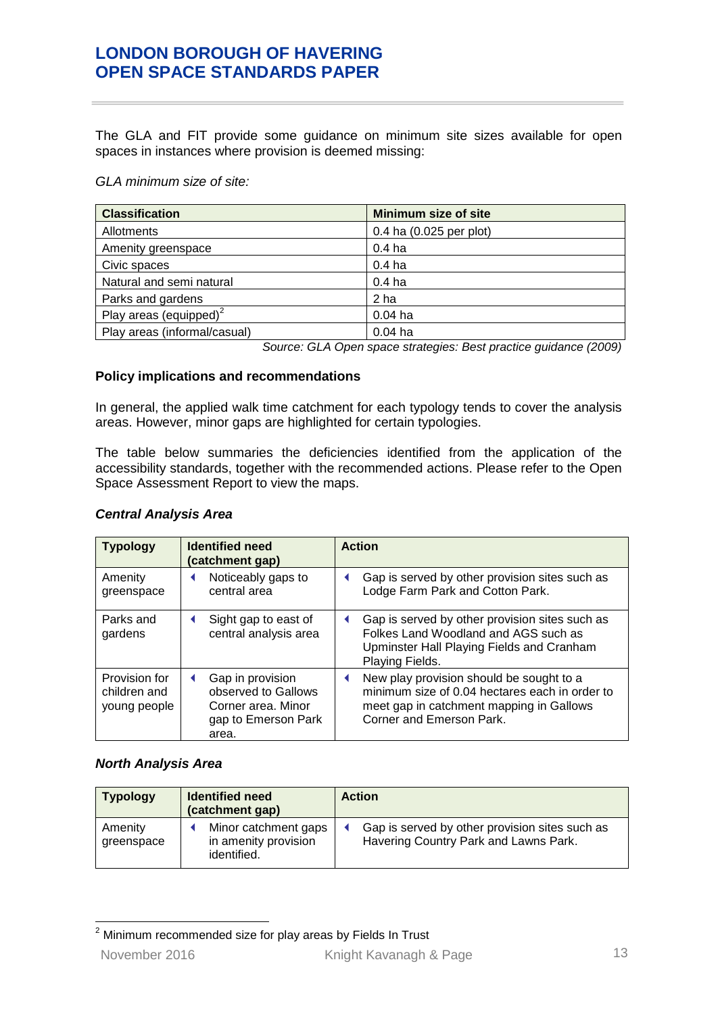The GLA and FIT provide some guidance on minimum site sizes available for open spaces in instances where provision is deemed missing:

*GLA minimum size of site:*

| <b>Classification</b>        | <b>Minimum size of site</b> |
|------------------------------|-----------------------------|
| Allotments                   | 0.4 ha $(0.025$ per plot)   |
| Amenity greenspace           | 0.4 ha                      |
| Civic spaces                 | 0.4 <sub>ha</sub>           |
| Natural and semi natural     | 0.4 <sub>ha</sub>           |
| Parks and gardens            | 2 ha                        |
| Play areas (equipped) $2$    | $0.04$ ha                   |
| Play areas (informal/casual) | $0.04$ ha                   |

*Source: GLA Open space strategies: Best practice guidance (2009)*

### <span id="page-16-0"></span>**Policy implications and recommendations**

In general, the applied walk time catchment for each typology tends to cover the analysis areas. However, minor gaps are highlighted for certain typologies.

The table below summaries the deficiencies identified from the application of the accessibility standards, together with the recommended actions. Please refer to the Open Space Assessment Report to view the maps.

| <b>Typology</b>                               | <b>Identified need</b><br>(catchment gap)                                                     | <b>Action</b>                                                                                                                                                           |
|-----------------------------------------------|-----------------------------------------------------------------------------------------------|-------------------------------------------------------------------------------------------------------------------------------------------------------------------------|
| Amenity<br>greenspace                         | Noticeably gaps to<br>central area                                                            | Gap is served by other provision sites such as<br>Lodge Farm Park and Cotton Park.                                                                                      |
| Parks and<br>gardens                          | Sight gap to east of<br>central analysis area                                                 | Gap is served by other provision sites such as<br>Folkes Land Woodland and AGS such as<br>Upminster Hall Playing Fields and Cranham<br>Playing Fields.                  |
| Provision for<br>children and<br>young people | Gap in provision<br>observed to Gallows<br>Corner area. Minor<br>gap to Emerson Park<br>area. | New play provision should be sought to a<br>◀<br>minimum size of 0.04 hectares each in order to<br>meet gap in catchment mapping in Gallows<br>Corner and Emerson Park. |

### *Central Analysis Area*

#### *North Analysis Area*

| <b>Typology</b>       | <b>Identified need</b><br>(catchment gap)                   | <b>Action</b>                                                                           |
|-----------------------|-------------------------------------------------------------|-----------------------------------------------------------------------------------------|
| Amenity<br>greenspace | Minor catchment gaps<br>in amenity provision<br>identified. | Gap is served by other provision sites such as<br>Havering Country Park and Lawns Park. |

November 2016 **Knight Kavanagh & Page** 13  $\sqrt{2}$ Minimum recommended size for play areas by Fields In Trust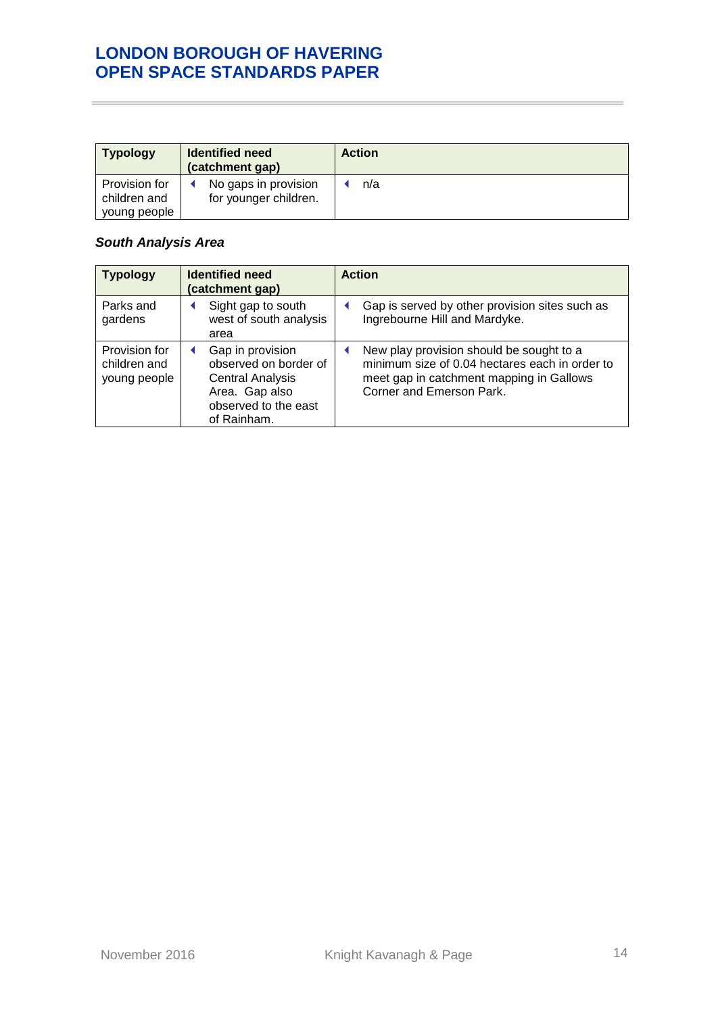| <b>Typology</b>                               | <b>Identified need</b><br>(catchment gap)     | <b>Action</b> |
|-----------------------------------------------|-----------------------------------------------|---------------|
| Provision for<br>children and<br>young people | No gaps in provision<br>for younger children. | n/a           |

## *South Analysis Area*

| <b>Typology</b>                               | <b>Identified need</b><br>(catchment gap)                                                                                     | <b>Action</b>                                                                                                                                                      |  |  |  |
|-----------------------------------------------|-------------------------------------------------------------------------------------------------------------------------------|--------------------------------------------------------------------------------------------------------------------------------------------------------------------|--|--|--|
| Parks and<br>gardens                          | Sight gap to south<br>west of south analysis<br>area                                                                          | Gap is served by other provision sites such as<br>Ingrebourne Hill and Mardyke.                                                                                    |  |  |  |
| Provision for<br>children and<br>young people | Gap in provision<br>observed on border of<br><b>Central Analysis</b><br>Area. Gap also<br>observed to the east<br>of Rainham. | New play provision should be sought to a<br>minimum size of 0.04 hectares each in order to<br>meet gap in catchment mapping in Gallows<br>Corner and Emerson Park. |  |  |  |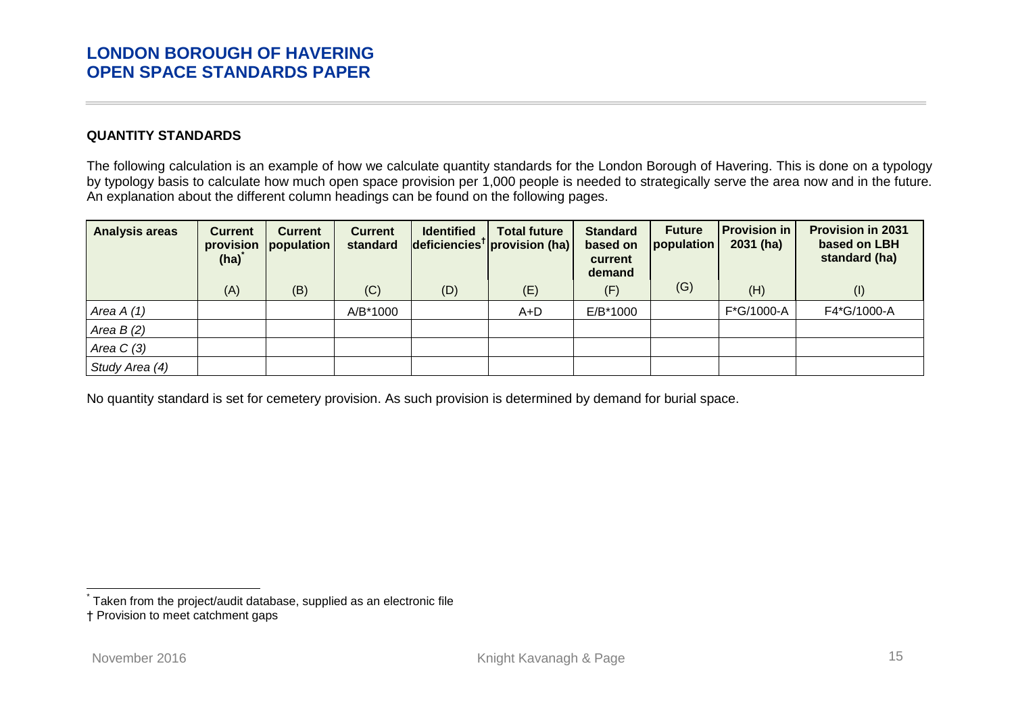### **QUANTITY STANDARDS**

The following calculation is an example of how we calculate quantity standards for the London Borough of Havering. This is done on a typology by typology basis to calculate how much open space provision per 1,000 people is needed to strategically serve the area now and in the future. An explanation about the different column headings can be found on the following pages.

| <b>Analysis areas</b> | <b>Current</b><br>provision<br>(ha) | <b>Current</b><br><i>population</i> | <b>Current</b><br>standard | <b>Identified</b> | <b>Total future</b><br>$\left $ deficiencies <sup>†</sup> provision (ha) | <b>Standard</b><br>based on<br>current<br>demand | <b>Future</b><br>population | <b>Provision in</b><br>$2031$ (ha) | <b>Provision in 2031</b><br>based on LBH<br>standard (ha) |
|-----------------------|-------------------------------------|-------------------------------------|----------------------------|-------------------|--------------------------------------------------------------------------|--------------------------------------------------|-----------------------------|------------------------------------|-----------------------------------------------------------|
|                       | (A)                                 | (B)                                 | (C)                        | (D)               | (E)                                                                      | (F)                                              | (G)                         | (H)                                | $($ l $)$                                                 |
| Area $A(1)$           |                                     |                                     | A/B*1000                   |                   | A+D                                                                      | E/B*1000                                         |                             | F*G/1000-A                         | F4*G/1000-A                                               |
| Area $B(2)$           |                                     |                                     |                            |                   |                                                                          |                                                  |                             |                                    |                                                           |
| Area $C(3)$           |                                     |                                     |                            |                   |                                                                          |                                                  |                             |                                    |                                                           |
| Study Area (4)        |                                     |                                     |                            |                   |                                                                          |                                                  |                             |                                    |                                                           |

<span id="page-18-0"></span>No quantity standard is set for cemetery provision. As such provision is determined by demand for burial space.

 $\frac{1}{2}$ 

<sup>\*</sup> Taken from the project/audit database, supplied as an electronic file

<sup>†</sup> Provision to meet catchment gaps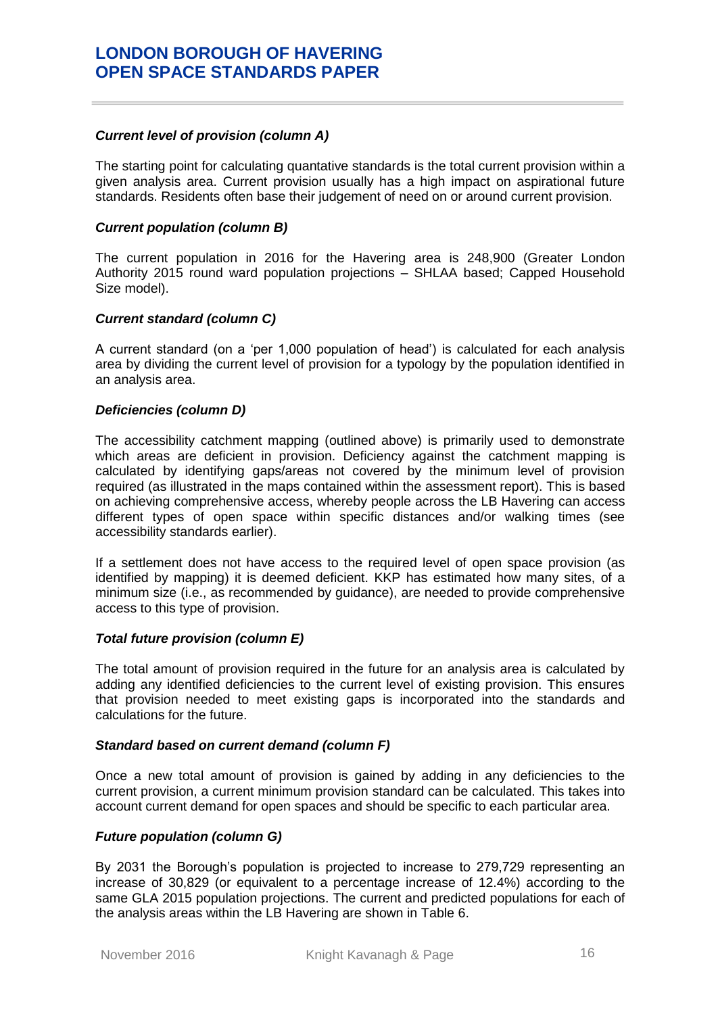#### *Current level of provision (column A)*

The starting point for calculating quantative standards is the total current provision within a given analysis area. Current provision usually has a high impact on aspirational future standards. Residents often base their judgement of need on or around current provision.

#### *Current population (column B)*

The current population in 2016 for the Havering area is 248,900 (Greater London Authority 2015 round ward population projections – SHLAA based; Capped Household Size model).

### *Current standard (column C)*

A current standard (on a 'per 1,000 population of head') is calculated for each analysis area by dividing the current level of provision for a typology by the population identified in an analysis area.

### *Deficiencies (column D)*

The accessibility catchment mapping (outlined above) is primarily used to demonstrate which areas are deficient in provision. Deficiency against the catchment mapping is calculated by identifying gaps/areas not covered by the minimum level of provision required (as illustrated in the maps contained within the assessment report). This is based on achieving comprehensive access, whereby people across the LB Havering can access different types of open space within specific distances and/or walking times (see accessibility standards earlier).

If a settlement does not have access to the required level of open space provision (as identified by mapping) it is deemed deficient. KKP has estimated how many sites, of a minimum size (i.e., as recommended by guidance), are needed to provide comprehensive access to this type of provision.

#### *Total future provision (column E)*

The total amount of provision required in the future for an analysis area is calculated by adding any identified deficiencies to the current level of existing provision. This ensures that provision needed to meet existing gaps is incorporated into the standards and calculations for the future.

#### *Standard based on current demand (column F)*

Once a new total amount of provision is gained by adding in any deficiencies to the current provision, a current minimum provision standard can be calculated. This takes into account current demand for open spaces and should be specific to each particular area.

### *Future population (column G)*

By 2031 the Borough's population is projected to increase to 279,729 representing an increase of 30,829 (or equivalent to a percentage increase of 12.4%) according to the same GLA 2015 population projections. The current and predicted populations for each of the analysis areas within the LB Havering are shown in Table 6.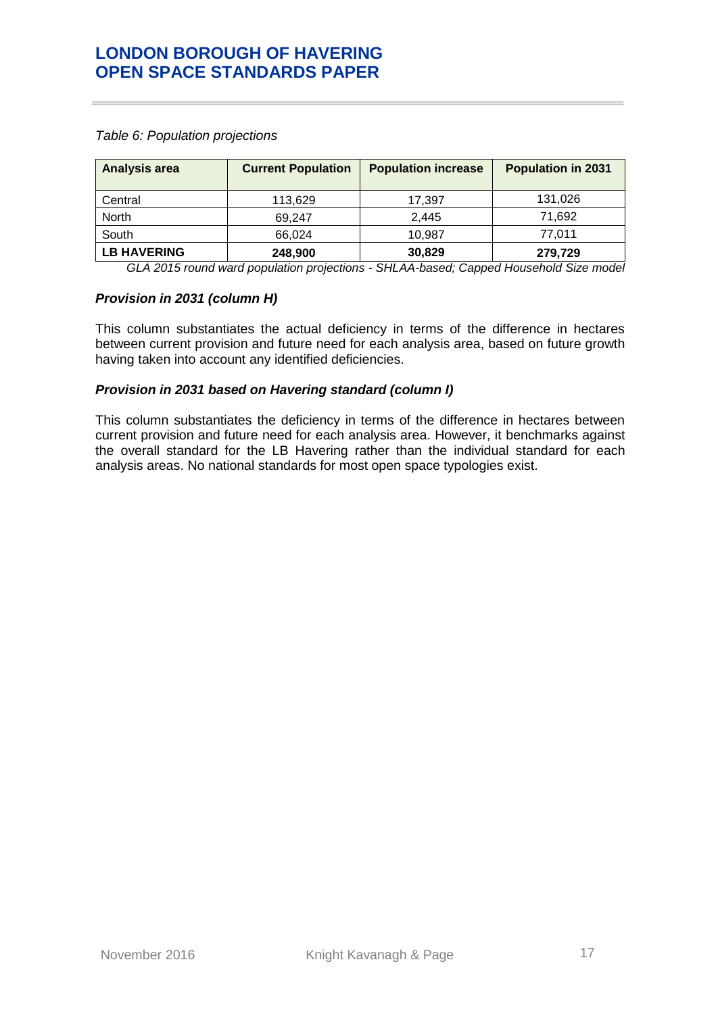| <b>Analysis area</b> | <b>Current Population</b> | <b>Population increase</b> | <b>Population in 2031</b> |
|----------------------|---------------------------|----------------------------|---------------------------|
| Central              | 113,629                   | 17,397                     | 131,026                   |
| North                | 69.247                    | 2.445                      | 71,692                    |
| South                | 66.024                    | 10.987                     | 77,011                    |
| <b>LB HAVERING</b>   | 248,900                   | 30,829                     | 279,729                   |

*Table 6: Population projections*

*GLA 2015 round ward population projections - SHLAA-based; Capped Household Size model*

#### *Provision in 2031 (column H)*

This column substantiates the actual deficiency in terms of the difference in hectares between current provision and future need for each analysis area, based on future growth having taken into account any identified deficiencies.

### *Provision in 2031 based on Havering standard (column I)*

This column substantiates the deficiency in terms of the difference in hectares between current provision and future need for each analysis area. However, it benchmarks against the overall standard for the LB Havering rather than the individual standard for each analysis areas. No national standards for most open space typologies exist.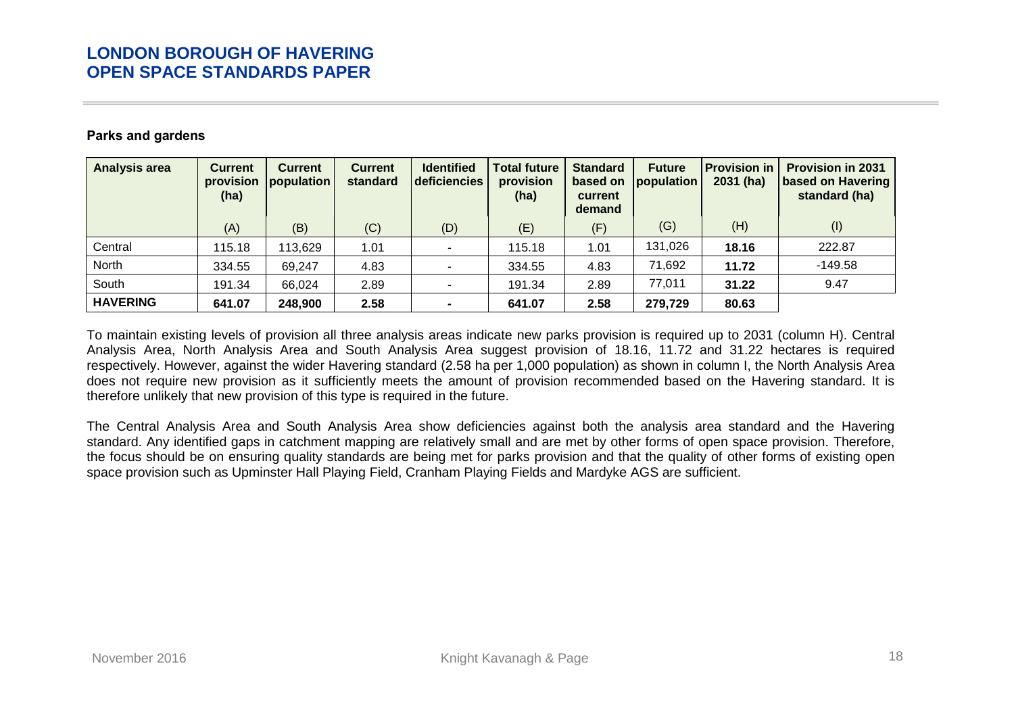### **Parks and gardens**

| <b>Analysis area</b> | <b>Current</b><br>provision<br>(ha) | <b>Current</b><br>population | <b>Current</b><br>standard | <b>Identified</b><br>deficiencies | <b>Total future</b><br>provision<br>(ha) | <b>Standard</b><br>based on<br>current<br>demand | <b>Future</b><br>population | <b>Provision in</b><br>$2031$ (ha) | <b>Provision in 2031</b><br>based on Havering<br>standard (ha) |
|----------------------|-------------------------------------|------------------------------|----------------------------|-----------------------------------|------------------------------------------|--------------------------------------------------|-----------------------------|------------------------------------|----------------------------------------------------------------|
|                      | (A)                                 | (B)                          | (C)                        | (D)                               | (E)                                      | (F)                                              | (G)                         | (H)                                | (1)                                                            |
| Central              | 115.18                              | 113,629                      | 1.01                       |                                   | 115.18                                   | 1.01                                             | 131,026                     | 18.16                              | 222.87                                                         |
| North                | 334.55                              | 69,247                       | 4.83                       |                                   | 334.55                                   | 4.83                                             | 71,692                      | 11.72                              | $-149.58$                                                      |
| South                | 191.34                              | 66,024                       | 2.89                       |                                   | 191.34                                   | 2.89                                             | 77,011                      | 31.22                              | 9.47                                                           |
| <b>HAVERING</b>      | 641.07                              | 248,900                      | 2.58                       |                                   | 641.07                                   | 2.58                                             | 279,729                     | 80.63                              |                                                                |

To maintain existing levels of provision all three analysis areas indicate new parks provision is required up to 2031 (column H). Central Analysis Area, North Analysis Area and South Analysis Area suggest provision of 18.16, 11.72 and 31.22 hectares is required respectively. However, against the wider Havering standard (2.58 ha per 1,000 population) as shown in column I, the North Analysis Area does not require new provision as it sufficiently meets the amount of provision recommended based on the Havering standard. It is therefore unlikely that new provision of this type is required in the future.

<span id="page-21-0"></span>The Central Analysis Area and South Analysis Area show deficiencies against both the analysis area standard and the Havering standard. Any identified gaps in catchment mapping are relatively small and are met by other forms of open space provision. Therefore, the focus should be on ensuring quality standards are being met for parks provision and that the quality of other forms of existing open space provision such as Upminster Hall Playing Field, Cranham Playing Fields and Mardyke AGS are sufficient.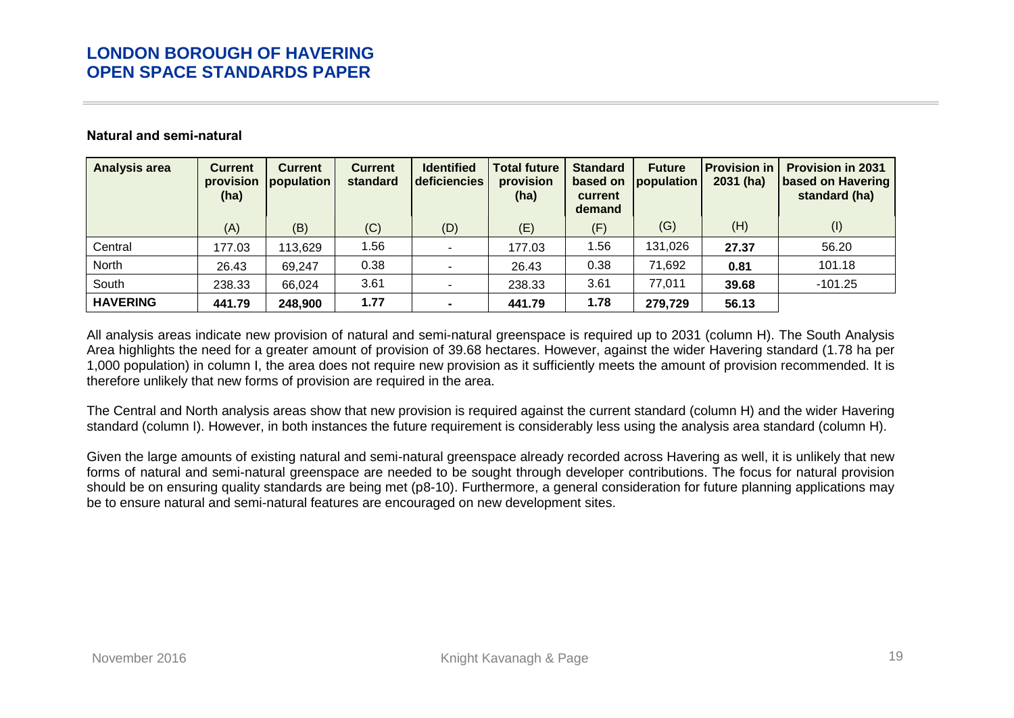#### **Natural and semi-natural**

| <b>Analysis area</b> | <b>Current</b><br>provision<br>(ha) | <b>Current</b><br>population | <b>Current</b><br>standard | <b>Identified</b><br>deficiencies | <b>Total future</b><br>provision<br>(ha) | <b>Standard</b><br>based on<br>current<br>demand | <b>Future</b><br>population | <b>Provision in</b><br>$2031$ (ha) | <b>Provision in 2031</b><br><b>based on Havering</b><br>standard (ha) |
|----------------------|-------------------------------------|------------------------------|----------------------------|-----------------------------------|------------------------------------------|--------------------------------------------------|-----------------------------|------------------------------------|-----------------------------------------------------------------------|
|                      | (A)                                 | (B)                          | (C)                        | (D)                               | (E)                                      | (F)                                              | (G)                         | (H)                                | (1)                                                                   |
| Central              | 177.03                              | 113,629                      | 1.56                       |                                   | 177.03                                   | .56                                              | 131,026                     | 27.37                              | 56.20                                                                 |
| North                | 26.43                               | 69,247                       | 0.38                       |                                   | 26.43                                    | 0.38                                             | 71,692                      | 0.81                               | 101.18                                                                |
| South                | 238.33                              | 66,024                       | 3.61                       |                                   | 238.33                                   | 3.61                                             | 77,011                      | 39.68                              | $-101.25$                                                             |
| <b>HAVERING</b>      | 441.79                              | 248,900                      | 1.77                       |                                   | 441.79                                   | 1.78                                             | 279,729                     | 56.13                              |                                                                       |

All analysis areas indicate new provision of natural and semi-natural greenspace is required up to 2031 (column H). The South Analysis Area highlights the need for a greater amount of provision of 39.68 hectares. However, against the wider Havering standard (1.78 ha per 1,000 population) in column I, the area does not require new provision as it sufficiently meets the amount of provision recommended. It is therefore unlikely that new forms of provision are required in the area.

<span id="page-22-0"></span>The Central and North analysis areas show that new provision is required against the current standard (column H) and the wider Havering standard (column I). However, in both instances the future requirement is considerably less using the analysis area standard (column H).

Given the large amounts of existing natural and semi-natural greenspace already recorded across Havering as well, it is unlikely that new forms of natural and semi-natural greenspace are needed to be sought through developer contributions. The focus for natural provision should be on ensuring quality standards are being met (p8-10). Furthermore, a general consideration for future planning applications may be to ensure natural and semi-natural features are encouraged on new development sites.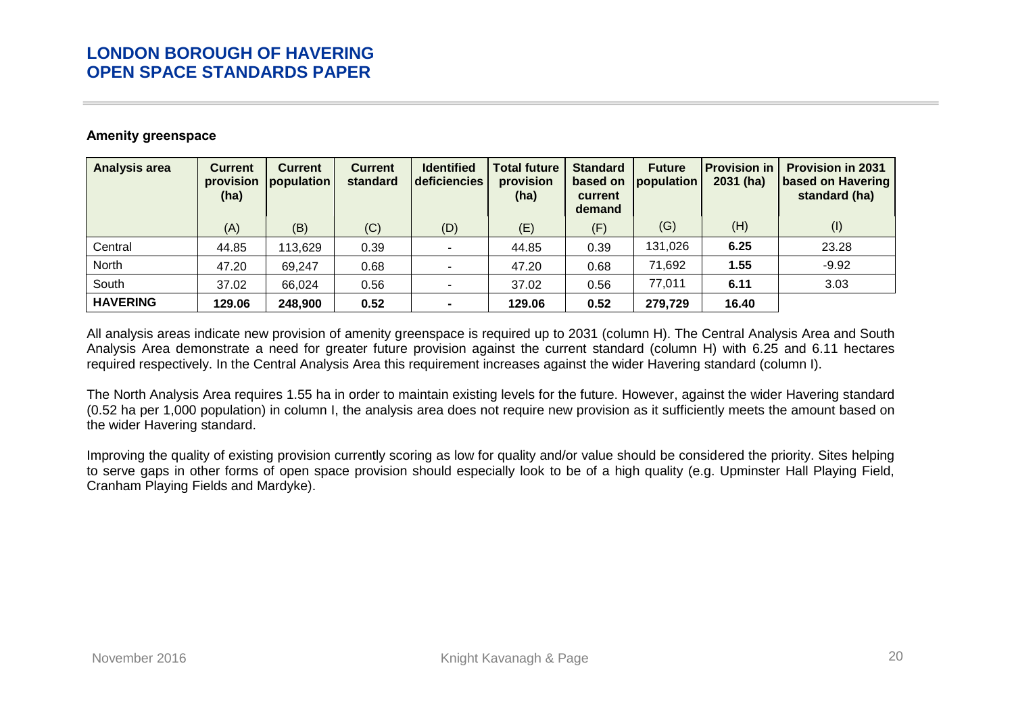### **Amenity greenspace**

| <b>Analysis area</b> | <b>Current</b><br>provision<br>(ha) | <b>Current</b><br>population | <b>Current</b><br>standard | <b>Identified</b><br>deficiencies | <b>Total future</b><br>provision<br>(ha) | <b>Standard</b><br>based on<br>current<br>demand | <b>Future</b><br>population | <b>Provision in</b><br>$2031$ (ha) | <b>Provision in 2031</b><br>based on Havering<br>standard (ha) |
|----------------------|-------------------------------------|------------------------------|----------------------------|-----------------------------------|------------------------------------------|--------------------------------------------------|-----------------------------|------------------------------------|----------------------------------------------------------------|
|                      | (A)                                 | (B)                          | (C)                        | (D)                               | (E)                                      | (F)                                              | (G)                         | (H)                                | (1)                                                            |
| Central              | 44.85                               | 113,629                      | 0.39                       | $\overline{\phantom{a}}$          | 44.85                                    | 0.39                                             | 131,026                     | 6.25                               | 23.28                                                          |
| North                | 47.20                               | 69,247                       | 0.68                       | $\overline{\phantom{a}}$          | 47.20                                    | 0.68                                             | 71,692                      | 1.55                               | $-9.92$                                                        |
| South                | 37.02                               | 66,024                       | 0.56                       | $\overline{\phantom{a}}$          | 37.02                                    | 0.56                                             | 77,011                      | 6.11                               | 3.03                                                           |
| <b>HAVERING</b>      | 129.06                              | 248,900                      | 0.52                       | $\blacksquare$                    | 129.06                                   | 0.52                                             | 279,729                     | 16.40                              |                                                                |

All analysis areas indicate new provision of amenity greenspace is required up to 2031 (column H). The Central Analysis Area and South Analysis Area demonstrate a need for greater future provision against the current standard (column H) with 6.25 and 6.11 hectares required respectively. In the Central Analysis Area this requirement increases against the wider Havering standard (column I).

The North Analysis Area requires 1.55 ha in order to maintain existing levels for the future. However, against the wider Havering standard (0.52 ha per 1,000 population) in column I, the analysis area does not require new provision as it sufficiently meets the amount based on the wider Havering standard.

<span id="page-23-0"></span>Improving the quality of existing provision currently scoring as low for quality and/or value should be considered the priority. Sites helping to serve gaps in other forms of open space provision should especially look to be of a high quality (e.g. Upminster Hall Playing Field, Cranham Playing Fields and Mardyke).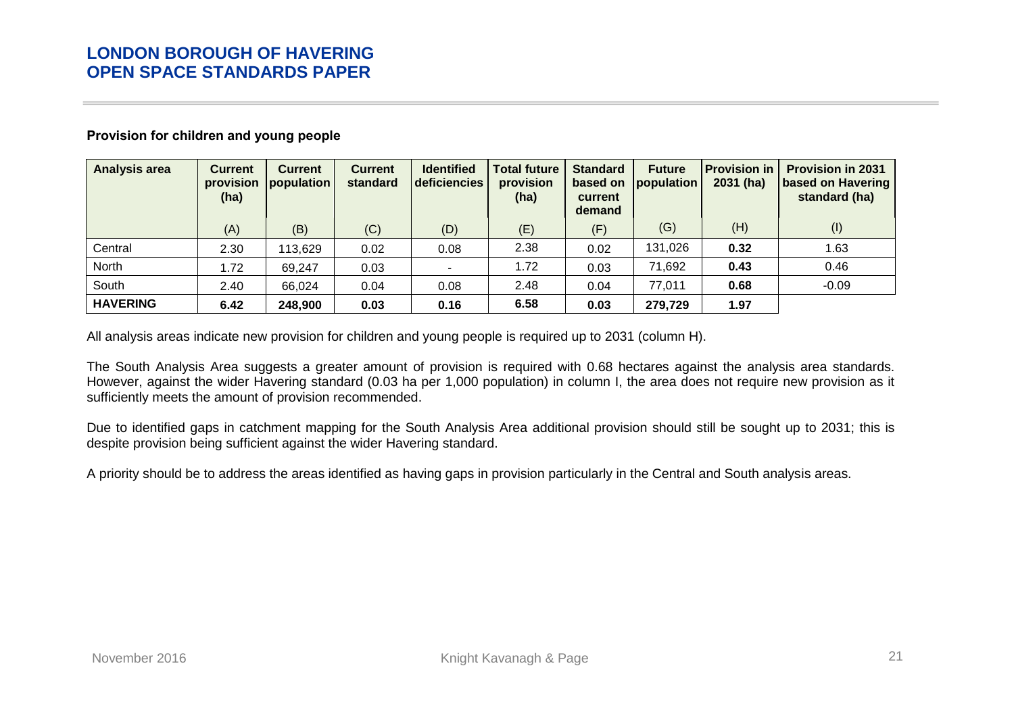| <b>Analysis area</b> | <b>Current</b><br>provision<br>(ha) | <b>Current</b><br>population | <b>Current</b><br>standard | <b>Identified</b><br>deficiencies | <b>Total future</b><br>provision<br>(ha) | <b>Standard</b><br>current<br>demand | <b>Future</b><br>based on population | <b>Provision in</b><br>$2031$ (ha) | <b>Provision in 2031</b><br>based on Havering<br>standard (ha) |
|----------------------|-------------------------------------|------------------------------|----------------------------|-----------------------------------|------------------------------------------|--------------------------------------|--------------------------------------|------------------------------------|----------------------------------------------------------------|
|                      | (A)                                 | (B)                          | (C)                        | (D)                               | (E)                                      | (F)                                  | (G)                                  | (H)                                | (1)                                                            |
| Central              | 2.30                                | 113,629                      | 0.02                       | 0.08                              | 2.38                                     | 0.02                                 | 131,026                              | 0.32                               | 1.63                                                           |
| North                | 1.72                                | 69,247                       | 0.03                       |                                   | 1.72                                     | 0.03                                 | 71,692                               | 0.43                               | 0.46                                                           |
| South                | 2.40                                | 66,024                       | 0.04                       | 0.08                              | 2.48                                     | 0.04                                 | 77,011                               | 0.68                               | $-0.09$                                                        |
| <b>HAVERING</b>      | 6.42                                | 248,900                      | 0.03                       | 0.16                              | 6.58                                     | 0.03                                 | 279,729                              | 1.97                               |                                                                |

### **Provision for children and young people**

All analysis areas indicate new provision for children and young people is required up to 2031 (column H).

The South Analysis Area suggests a greater amount of provision is required with 0.68 hectares against the analysis area standards. However, against the wider Havering standard (0.03 ha per 1,000 population) in column I, the area does not require new provision as it sufficiently meets the amount of provision recommended.

<span id="page-24-0"></span>Due to identified gaps in catchment mapping for the South Analysis Area additional provision should still be sought up to 2031; this is despite provision being sufficient against the wider Havering standard.

A priority should be to address the areas identified as having gaps in provision particularly in the Central and South analysis areas.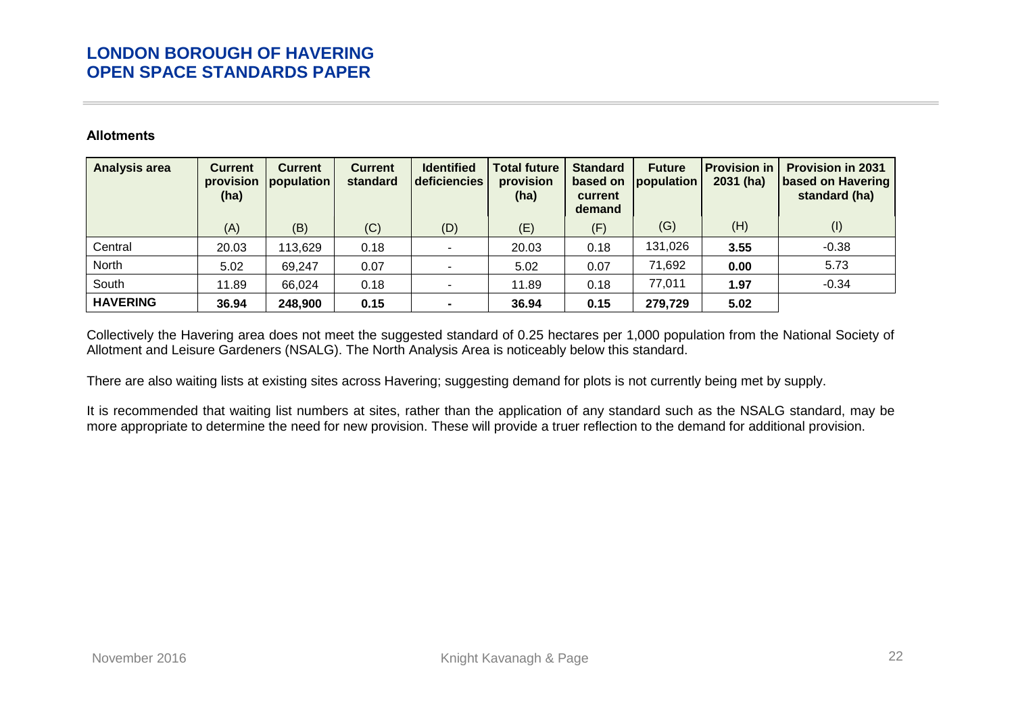### **Allotments**

| <b>Analysis area</b> | <b>Current</b><br>provision<br>(ha) | <b>Current</b><br>population | <b>Current</b><br>standard | <b>Identified</b><br>deficiencies | <b>Total future</b><br>provision<br>(ha) | <b>Standard</b><br>based on<br>current<br>demand | <b>Future</b><br>population | <b>Provision in</b><br>$2031$ (ha) | <b>Provision in 2031</b><br>based on Havering<br>standard (ha) |
|----------------------|-------------------------------------|------------------------------|----------------------------|-----------------------------------|------------------------------------------|--------------------------------------------------|-----------------------------|------------------------------------|----------------------------------------------------------------|
|                      | (A)                                 | (B)                          | (C)                        | (D)                               | (E)                                      | (F)                                              | (G)                         | (H)                                | (1)                                                            |
| Central              | 20.03                               | 113,629                      | 0.18                       | $\overline{\phantom{0}}$          | 20.03                                    | 0.18                                             | 131,026                     | 3.55                               | $-0.38$                                                        |
| North                | 5.02                                | 69,247                       | 0.07                       |                                   | 5.02                                     | 0.07                                             | 71,692                      | 0.00                               | 5.73                                                           |
| South                | 11.89                               | 66,024                       | 0.18                       |                                   | 11.89                                    | 0.18                                             | 77,011                      | 1.97                               | $-0.34$                                                        |
| <b>HAVERING</b>      | 36.94                               | 248,900                      | 0.15                       |                                   | 36.94                                    | 0.15                                             | 279,729                     | 5.02                               |                                                                |

Collectively the Havering area does not meet the suggested standard of 0.25 hectares per 1,000 population from the National Society of Allotment and Leisure Gardeners (NSALG). The North Analysis Area is noticeably below this standard.

There are also waiting lists at existing sites across Havering; suggesting demand for plots is not currently being met by supply.

<span id="page-25-0"></span>It is recommended that waiting list numbers at sites, rather than the application of any standard such as the NSALG standard, may be more appropriate to determine the need for new provision. These will provide a truer reflection to the demand for additional provision.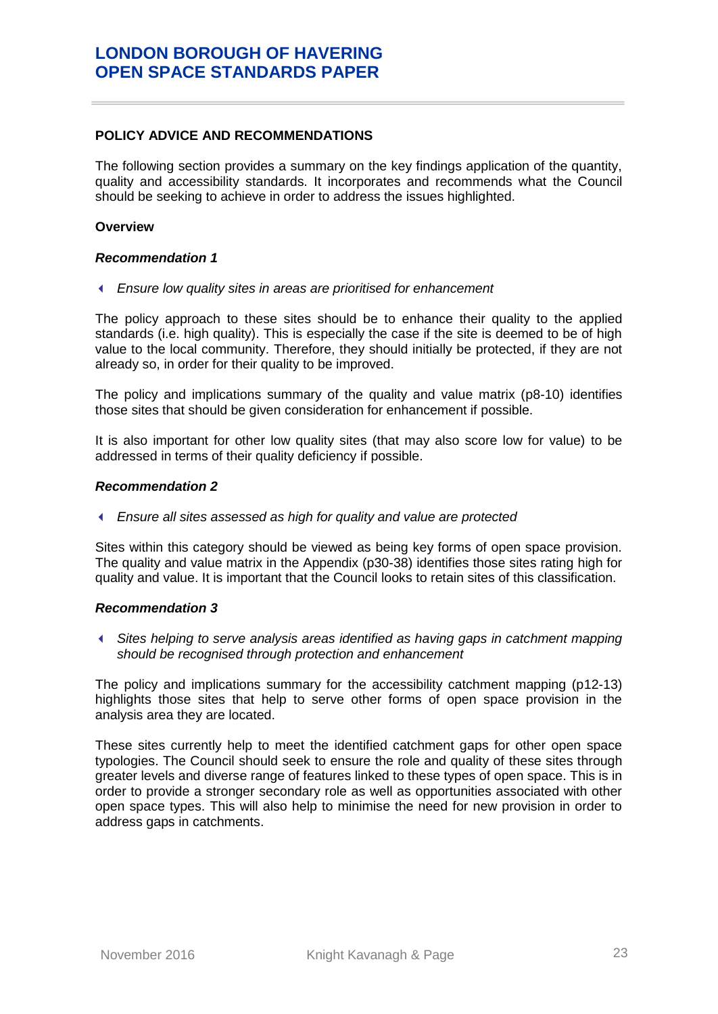### <span id="page-26-0"></span>**POLICY ADVICE AND RECOMMENDATIONS**

The following section provides a summary on the key findings application of the quantity, quality and accessibility standards. It incorporates and recommends what the Council should be seeking to achieve in order to address the issues highlighted.

#### **Overview**

### *Recommendation 1*

*Ensure low quality sites in areas are prioritised for enhancement*

The policy approach to these sites should be to enhance their quality to the applied standards (i.e. high quality). This is especially the case if the site is deemed to be of high value to the local community. Therefore, they should initially be protected, if they are not already so, in order for their quality to be improved.

The policy and implications summary of the quality and value matrix (p8-10) identifies those sites that should be given consideration for enhancement if possible.

It is also important for other low quality sites (that may also score low for value) to be addressed in terms of their quality deficiency if possible.

#### *Recommendation 2*

*Ensure all sites assessed as high for quality and value are protected*

Sites within this category should be viewed as being key forms of open space provision. The quality and value matrix in the Appendix (p30-38) identifies those sites rating high for quality and value. It is important that the Council looks to retain sites of this classification.

#### *Recommendation 3*

 *Sites helping to serve analysis areas identified as having gaps in catchment mapping should be recognised through protection and enhancement* 

The policy and implications summary for the accessibility catchment mapping (p12-13) highlights those sites that help to serve other forms of open space provision in the analysis area they are located.

These sites currently help to meet the identified catchment gaps for other open space typologies. The Council should seek to ensure the role and quality of these sites through greater levels and diverse range of features linked to these types of open space. This is in order to provide a stronger secondary role as well as opportunities associated with other open space types. This will also help to minimise the need for new provision in order to address gaps in catchments.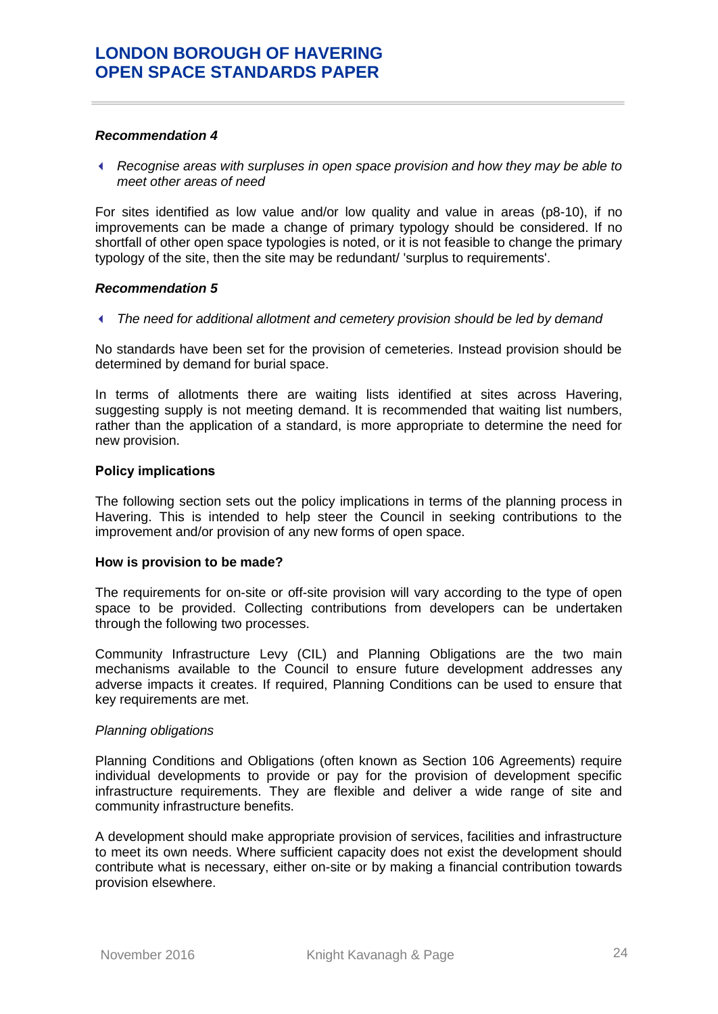#### *Recommendation 4*

 *Recognise areas with surpluses in open space provision and how they may be able to meet other areas of need*

For sites identified as low value and/or low quality and value in areas (p8-10), if no improvements can be made a change of primary typology should be considered. If no shortfall of other open space typologies is noted, or it is not feasible to change the primary typology of the site, then the site may be redundant/ 'surplus to requirements'.

#### *Recommendation 5*

*The need for additional allotment and cemetery provision should be led by demand*

No standards have been set for the provision of cemeteries. Instead provision should be determined by demand for burial space.

In terms of allotments there are waiting lists identified at sites across Havering, suggesting supply is not meeting demand. It is recommended that waiting list numbers, rather than the application of a standard, is more appropriate to determine the need for new provision.

#### **Policy implications**

The following section sets out the policy implications in terms of the planning process in Havering. This is intended to help steer the Council in seeking contributions to the improvement and/or provision of any new forms of open space.

#### **How is provision to be made?**

The requirements for on-site or off-site provision will vary according to the type of open space to be provided. Collecting contributions from developers can be undertaken through the following two processes.

Community Infrastructure Levy (CIL) and Planning Obligations are the two main mechanisms available to the Council to ensure future development addresses any adverse impacts it creates. If required, Planning Conditions can be used to ensure that key requirements are met.

#### *Planning obligations*

Planning Conditions and Obligations (often known as Section 106 Agreements) require individual developments to provide or pay for the provision of development specific infrastructure requirements. They are flexible and deliver a wide range of site and community infrastructure benefits.

A development should make appropriate provision of services, facilities and infrastructure to meet its own needs. Where sufficient capacity does not exist the development should contribute what is necessary, either on-site or by making a financial contribution towards provision elsewhere.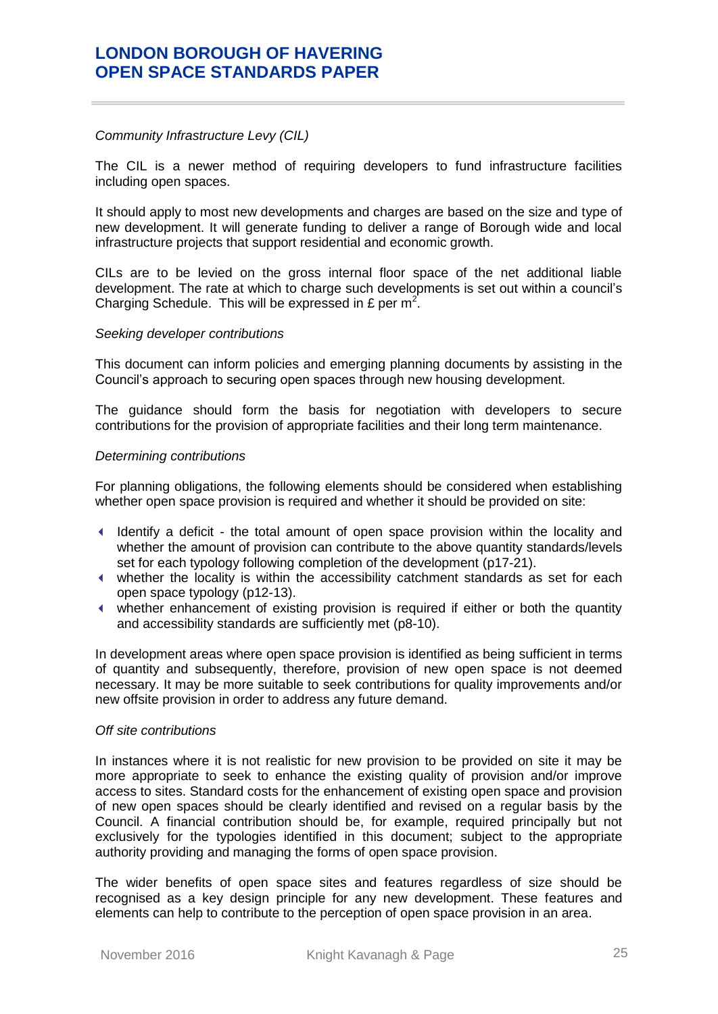#### *Community Infrastructure Levy (CIL)*

The CIL is a newer method of requiring developers to fund infrastructure facilities including open spaces.

It should apply to most new developments and charges are based on the size and type of new development. It will generate funding to deliver a range of Borough wide and local infrastructure projects that support residential and economic growth.

CILs are to be levied on the gross internal floor space of the net additional liable development. The rate at which to charge such developments is set out within a council's Charging Schedule. This will be expressed in £ per  $m^2$ .

#### *Seeking developer contributions*

This document can inform policies and emerging planning documents by assisting in the Council's approach to securing open spaces through new housing development.

The guidance should form the basis for negotiation with developers to secure contributions for the provision of appropriate facilities and their long term maintenance.

#### *Determining contributions*

For planning obligations, the following elements should be considered when establishing whether open space provision is required and whether it should be provided on site:

- Identify a deficit the total amount of open space provision within the locality and whether the amount of provision can contribute to the above quantity standards/levels set for each typology following completion of the development (p17-21).
- whether the locality is within the accessibility catchment standards as set for each open space typology (p12-13).
- whether enhancement of existing provision is required if either or both the quantity and accessibility standards are sufficiently met (p8-10).

In development areas where open space provision is identified as being sufficient in terms of quantity and subsequently, therefore, provision of new open space is not deemed necessary. It may be more suitable to seek contributions for quality improvements and/or new offsite provision in order to address any future demand.

#### *Off site contributions*

In instances where it is not realistic for new provision to be provided on site it may be more appropriate to seek to enhance the existing quality of provision and/or improve access to sites. Standard costs for the enhancement of existing open space and provision of new open spaces should be clearly identified and revised on a regular basis by the Council. A financial contribution should be, for example, required principally but not exclusively for the typologies identified in this document; subject to the appropriate authority providing and managing the forms of open space provision.

The wider benefits of open space sites and features regardless of size should be recognised as a key design principle for any new development. These features and elements can help to contribute to the perception of open space provision in an area.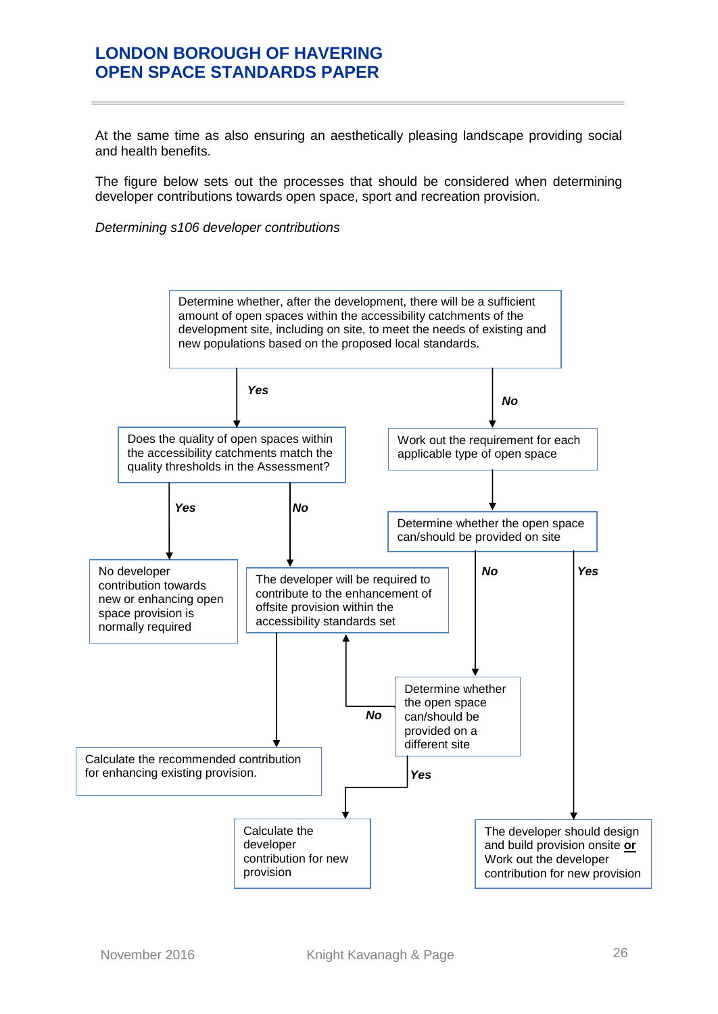At the same time as also ensuring an aesthetically pleasing landscape providing social and health benefits.

The figure below sets out the processes that should be considered when determining developer contributions towards open space, sport and recreation provision.

*Determining s106 developer contributions*

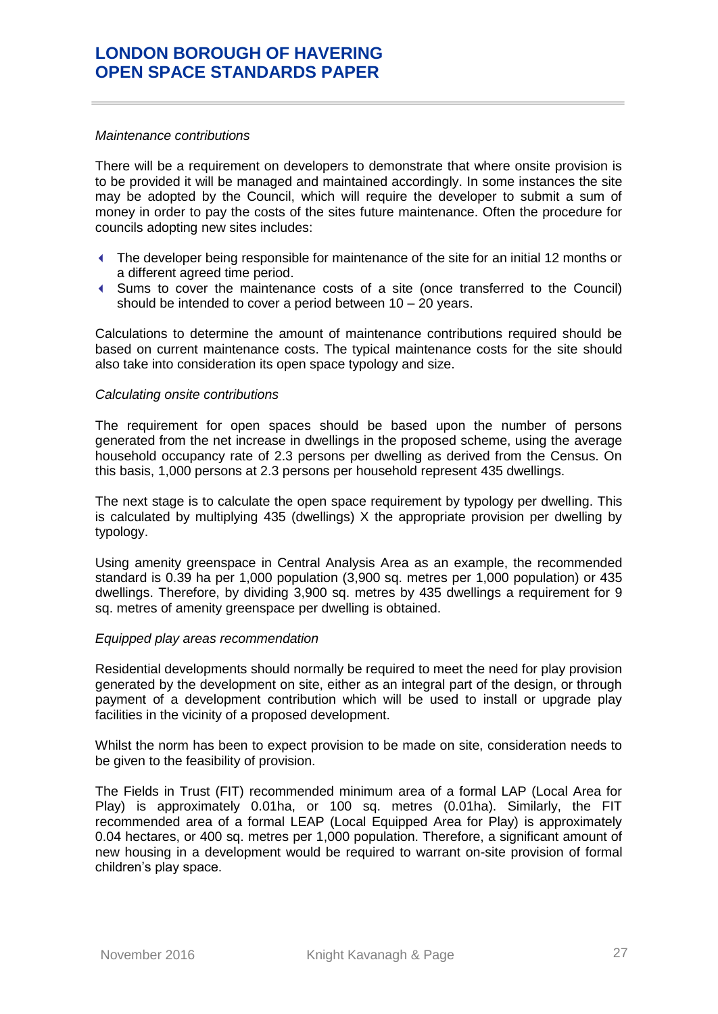#### *Maintenance contributions*

There will be a requirement on developers to demonstrate that where onsite provision is to be provided it will be managed and maintained accordingly. In some instances the site may be adopted by the Council, which will require the developer to submit a sum of money in order to pay the costs of the sites future maintenance. Often the procedure for councils adopting new sites includes:

- The developer being responsible for maintenance of the site for an initial 12 months or a different agreed time period.
- Sums to cover the maintenance costs of a site (once transferred to the Council) should be intended to cover a period between 10 – 20 years.

Calculations to determine the amount of maintenance contributions required should be based on current maintenance costs. The typical maintenance costs for the site should also take into consideration its open space typology and size.

#### *Calculating onsite contributions*

The requirement for open spaces should be based upon the number of persons generated from the net increase in dwellings in the proposed scheme, using the average household occupancy rate of 2.3 persons per dwelling as derived from the Census. On this basis, 1,000 persons at 2.3 persons per household represent 435 dwellings.

The next stage is to calculate the open space requirement by typology per dwelling. This is calculated by multiplying 435 (dwellings) X the appropriate provision per dwelling by typology.

Using amenity greenspace in Central Analysis Area as an example, the recommended standard is 0.39 ha per 1,000 population (3,900 sq. metres per 1,000 population) or 435 dwellings. Therefore, by dividing 3,900 sq. metres by 435 dwellings a requirement for 9 sq. metres of amenity greenspace per dwelling is obtained.

#### *Equipped play areas recommendation*

Residential developments should normally be required to meet the need for play provision generated by the development on site, either as an integral part of the design, or through payment of a development contribution which will be used to install or upgrade play facilities in the vicinity of a proposed development.

Whilst the norm has been to expect provision to be made on site, consideration needs to be given to the feasibility of provision.

The Fields in Trust (FIT) recommended minimum area of a formal LAP (Local Area for Play) is approximately 0.01ha, or 100 sq. metres (0.01ha). Similarly, the FIT recommended area of a formal LEAP (Local Equipped Area for Play) is approximately 0.04 hectares, or 400 sq. metres per 1,000 population. Therefore, a significant amount of new housing in a development would be required to warrant on-site provision of formal children's play space.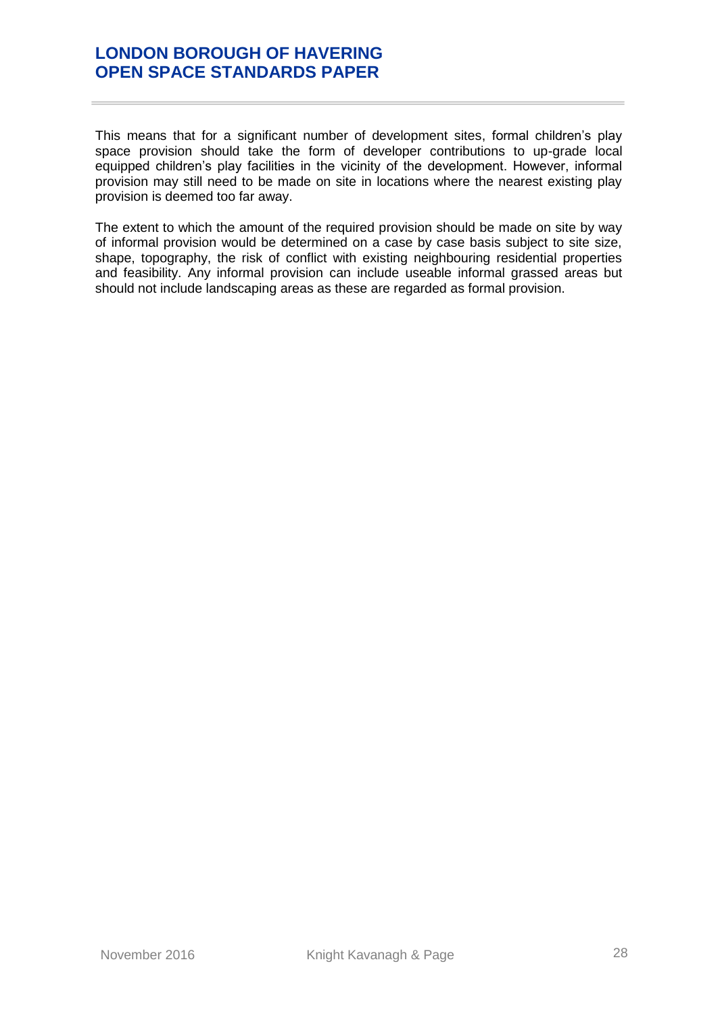This means that for a significant number of development sites, formal children's play space provision should take the form of developer contributions to up-grade local equipped children's play facilities in the vicinity of the development. However, informal provision may still need to be made on site in locations where the nearest existing play provision is deemed too far away.

The extent to which the amount of the required provision should be made on site by way of informal provision would be determined on a case by case basis subject to site size, shape, topography, the risk of conflict with existing neighbouring residential properties and feasibility. Any informal provision can include useable informal grassed areas but should not include landscaping areas as these are regarded as formal provision.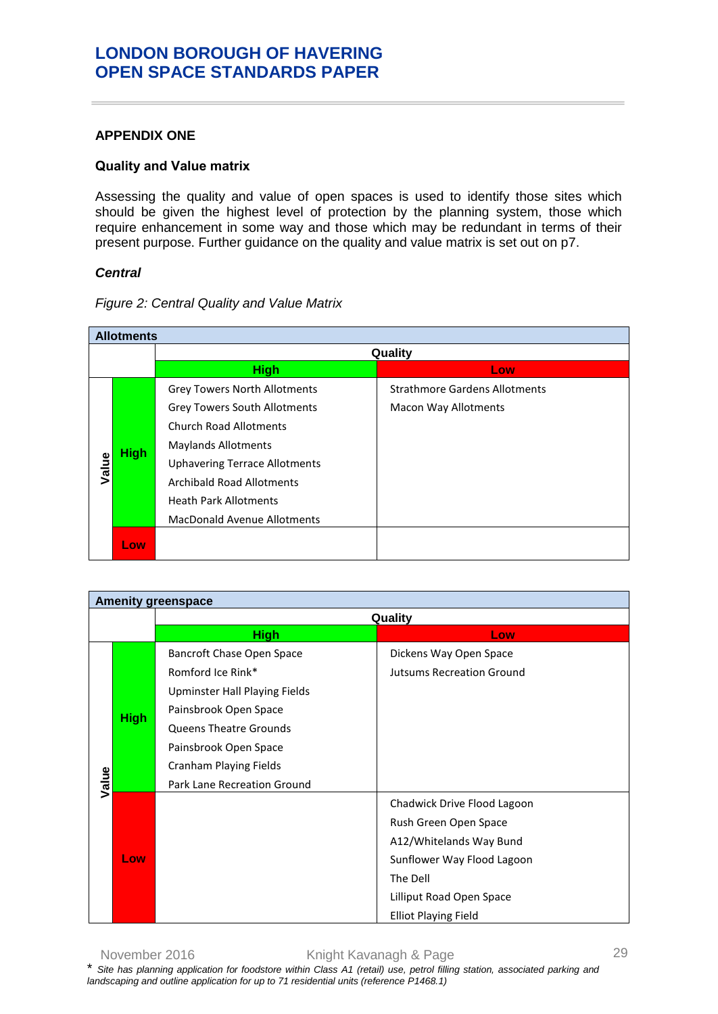### <span id="page-32-0"></span>**APPENDIX ONE**

### <span id="page-32-1"></span>**Quality and Value matrix**

Assessing the quality and value of open spaces is used to identify those sites which should be given the highest level of protection by the planning system, those which require enhancement in some way and those which may be redundant in terms of their present purpose. Further guidance on the quality and value matrix is set out on p7.

### *Central*

|       | <b>Allotments</b> |                                      |                                      |  |  |
|-------|-------------------|--------------------------------------|--------------------------------------|--|--|
|       |                   |                                      | Quality                              |  |  |
|       |                   | <b>High</b>                          | Low.                                 |  |  |
|       |                   | <b>Grey Towers North Allotments</b>  | <b>Strathmore Gardens Allotments</b> |  |  |
|       |                   | <b>Grey Towers South Allotments</b>  | <b>Macon Way Allotments</b>          |  |  |
|       |                   | <b>Church Road Allotments</b>        |                                      |  |  |
|       | <b>High</b>       | <b>Maylands Allotments</b>           |                                      |  |  |
| Value |                   | <b>Uphavering Terrace Allotments</b> |                                      |  |  |
|       |                   | Archibald Road Allotments            |                                      |  |  |
|       |                   | <b>Heath Park Allotments</b>         |                                      |  |  |
|       |                   | <b>MacDonald Avenue Allotments</b>   |                                      |  |  |
|       | Low               |                                      |                                      |  |  |

*Figure 2: Central Quality and Value Matrix*

| <b>Amenity greenspace</b> |             |                                                                                                                                                                                                                                    |                                                                                                                                                                                      |
|---------------------------|-------------|------------------------------------------------------------------------------------------------------------------------------------------------------------------------------------------------------------------------------------|--------------------------------------------------------------------------------------------------------------------------------------------------------------------------------------|
| Quality                   |             |                                                                                                                                                                                                                                    |                                                                                                                                                                                      |
|                           |             | <b>High</b>                                                                                                                                                                                                                        | Low                                                                                                                                                                                  |
| Value                     | <b>High</b> | <b>Bancroft Chase Open Space</b><br>Romford Ice Rink*<br>Upminster Hall Playing Fields<br>Painsbrook Open Space<br><b>Queens Theatre Grounds</b><br>Painsbrook Open Space<br>Cranham Playing Fields<br>Park Lane Recreation Ground | Dickens Way Open Space<br><b>Jutsums Recreation Ground</b>                                                                                                                           |
|                           | Low         |                                                                                                                                                                                                                                    | Chadwick Drive Flood Lagoon<br>Rush Green Open Space<br>A12/Whitelands Way Bund<br>Sunflower Way Flood Lagoon<br>The Dell<br>Lilliput Road Open Space<br><b>Elliot Playing Field</b> |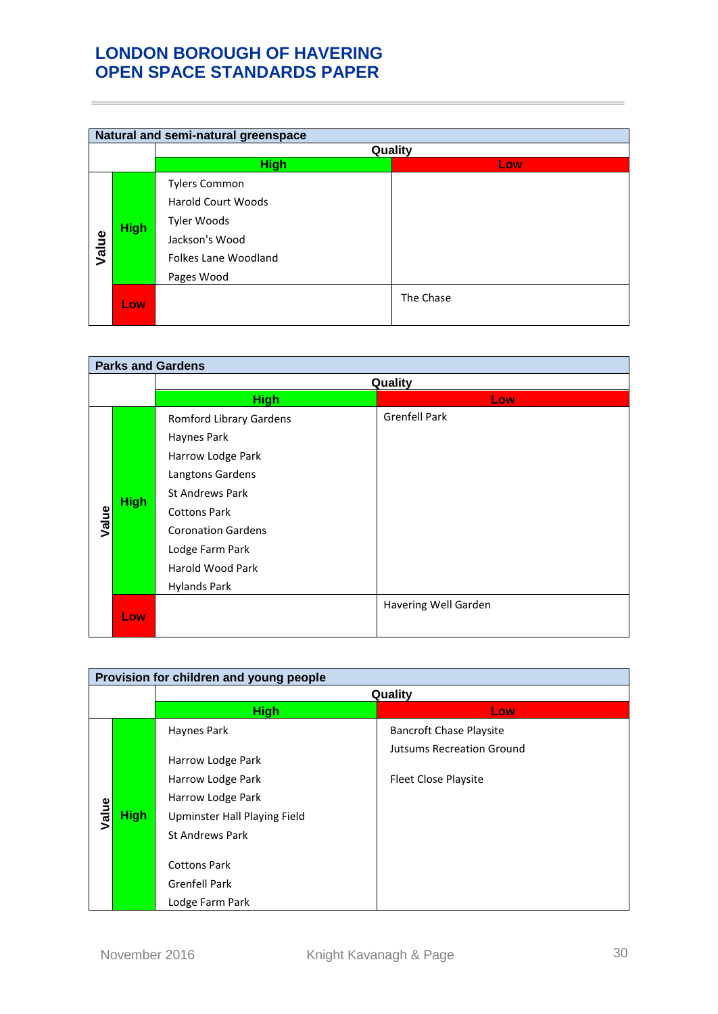|       | Natural and semi-natural greenspace |                                                                                                                          |           |  |  |
|-------|-------------------------------------|--------------------------------------------------------------------------------------------------------------------------|-----------|--|--|
|       |                                     | Quality                                                                                                                  |           |  |  |
|       |                                     | <b>High</b>                                                                                                              | Low       |  |  |
| Value | <b>High</b>                         | <b>Tylers Common</b><br><b>Harold Court Woods</b><br>Tyler Woods<br>Jackson's Wood<br>Folkes Lane Woodland<br>Pages Wood |           |  |  |
|       | Low                                 |                                                                                                                          | The Chase |  |  |

|       | <b>Parks and Gardens</b> |                                                                                                                                                                                                                                    |                      |  |
|-------|--------------------------|------------------------------------------------------------------------------------------------------------------------------------------------------------------------------------------------------------------------------------|----------------------|--|
|       |                          | Quality                                                                                                                                                                                                                            |                      |  |
|       |                          | <b>High</b>                                                                                                                                                                                                                        | Low                  |  |
| Value | <b>High</b>              | Romford Library Gardens<br>Haynes Park<br>Harrow Lodge Park<br>Langtons Gardens<br><b>St Andrews Park</b><br><b>Cottons Park</b><br><b>Coronation Gardens</b><br>Lodge Farm Park<br><b>Harold Wood Park</b><br><b>Hylands Park</b> | <b>Grenfell Park</b> |  |
|       | Low <sub>1</sub>         |                                                                                                                                                                                                                                    | Havering Well Garden |  |

|       | Provision for children and young people |                                             |                                  |  |
|-------|-----------------------------------------|---------------------------------------------|----------------------------------|--|
|       |                                         | Quality                                     |                                  |  |
|       |                                         | <b>High</b>                                 | Low                              |  |
|       |                                         | Haynes Park                                 | <b>Bancroft Chase Playsite</b>   |  |
|       |                                         | Harrow Lodge Park                           | <b>Jutsums Recreation Ground</b> |  |
|       |                                         | Harrow Lodge Park                           | <b>Fleet Close Playsite</b>      |  |
|       |                                         | Harrow Lodge Park                           |                                  |  |
| Value | <b>High</b>                             | Upminster Hall Playing Field                |                                  |  |
|       |                                         | <b>St Andrews Park</b>                      |                                  |  |
|       |                                         | <b>Cottons Park</b><br><b>Grenfell Park</b> |                                  |  |
|       |                                         | Lodge Farm Park                             |                                  |  |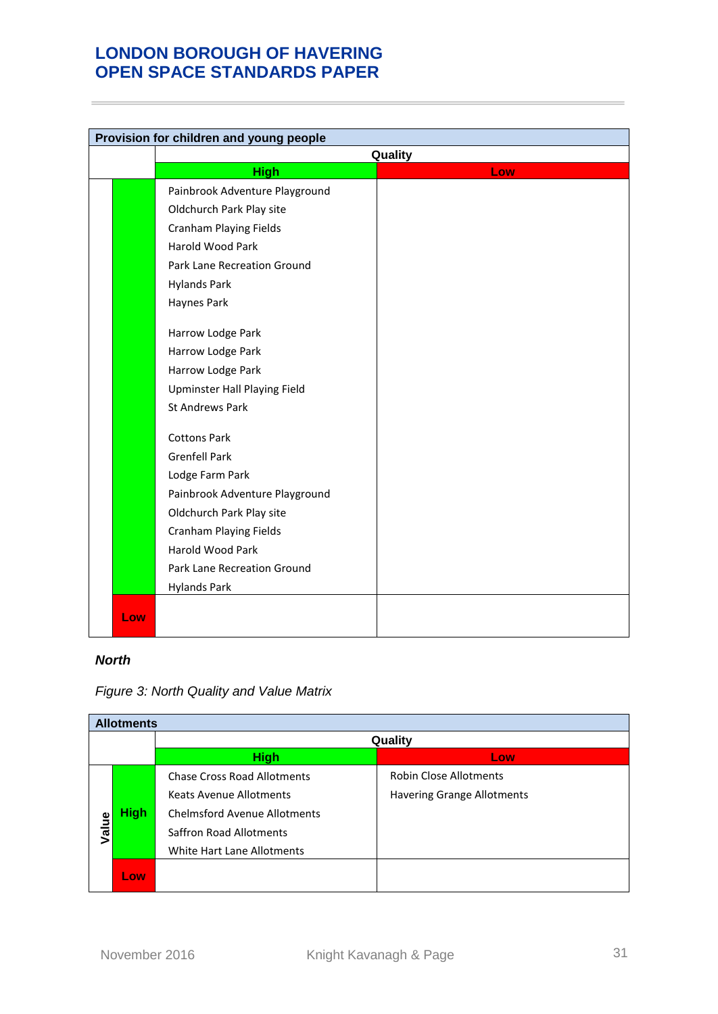| Provision for children and young people |                                |         |
|-----------------------------------------|--------------------------------|---------|
|                                         |                                | Quality |
|                                         | <b>High</b>                    | Low     |
|                                         | Painbrook Adventure Playground |         |
|                                         | Oldchurch Park Play site       |         |
|                                         | <b>Cranham Playing Fields</b>  |         |
|                                         | Harold Wood Park               |         |
|                                         | Park Lane Recreation Ground    |         |
|                                         | <b>Hylands Park</b>            |         |
|                                         | Haynes Park                    |         |
|                                         |                                |         |
|                                         | Harrow Lodge Park              |         |
|                                         | Harrow Lodge Park              |         |
|                                         | Harrow Lodge Park              |         |
|                                         | Upminster Hall Playing Field   |         |
|                                         | <b>St Andrews Park</b>         |         |
|                                         | <b>Cottons Park</b>            |         |
|                                         | <b>Grenfell Park</b>           |         |
|                                         | Lodge Farm Park                |         |
|                                         | Painbrook Adventure Playground |         |
|                                         | Oldchurch Park Play site       |         |
|                                         | <b>Cranham Playing Fields</b>  |         |
|                                         | Harold Wood Park               |         |
|                                         | Park Lane Recreation Ground    |         |
|                                         | <b>Hylands Park</b>            |         |
| Low                                     |                                |         |
|                                         |                                |         |

### *North*

|       | <b>Allotments</b> |                                     |                                   |  |  |
|-------|-------------------|-------------------------------------|-----------------------------------|--|--|
|       |                   | Quality                             |                                   |  |  |
|       |                   | <b>High</b>                         | Low                               |  |  |
|       |                   | <b>Chase Cross Road Allotments</b>  | <b>Robin Close Allotments</b>     |  |  |
|       |                   | <b>Keats Avenue Allotments</b>      | <b>Havering Grange Allotments</b> |  |  |
|       | <b>High</b>       | <b>Chelmsford Avenue Allotments</b> |                                   |  |  |
| Value |                   | Saffron Road Allotments             |                                   |  |  |
|       |                   | White Hart Lane Allotments          |                                   |  |  |
|       | Low               |                                     |                                   |  |  |

### *Figure 3: North Quality and Value Matrix*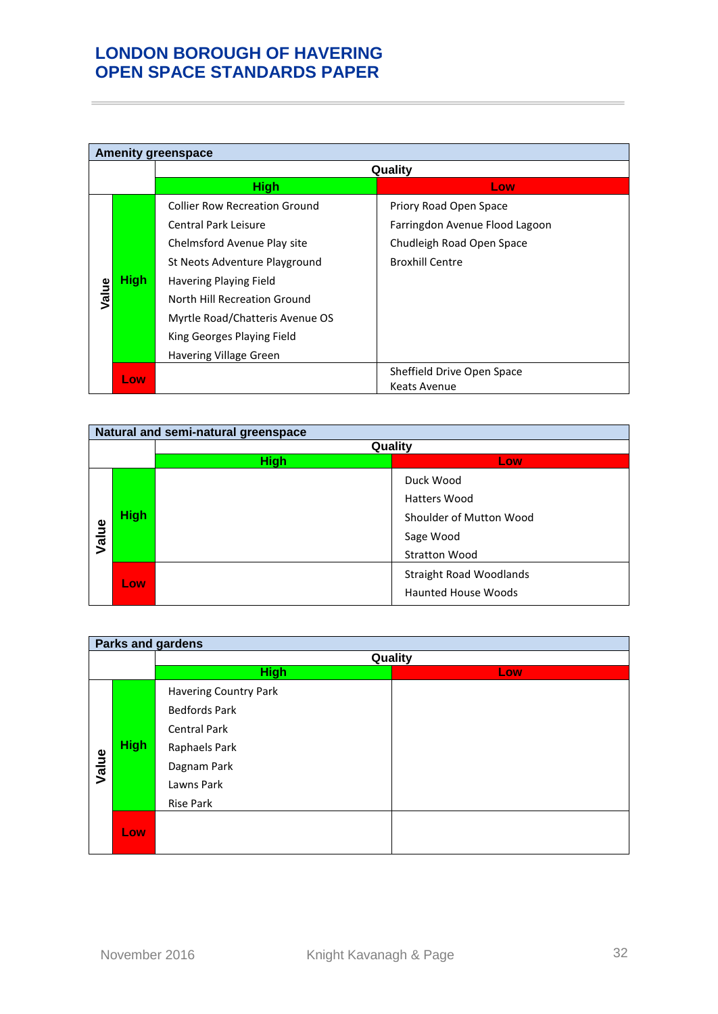|       | <b>Amenity greenspace</b> |                                      |                                |  |
|-------|---------------------------|--------------------------------------|--------------------------------|--|
|       |                           | Quality                              |                                |  |
|       |                           | <b>High</b>                          | Low.                           |  |
|       |                           | <b>Collier Row Recreation Ground</b> | Priory Road Open Space         |  |
|       |                           | Central Park Leisure                 | Farringdon Avenue Flood Lagoon |  |
|       | <b>High</b>               | Chelmsford Avenue Play site          | Chudleigh Road Open Space      |  |
|       |                           | St Neots Adventure Playground        | <b>Broxhill Centre</b>         |  |
|       |                           | Havering Playing Field               |                                |  |
| Value |                           | North Hill Recreation Ground         |                                |  |
|       |                           | Myrtle Road/Chatteris Avenue OS      |                                |  |
|       |                           | King Georges Playing Field           |                                |  |
|       |                           | Havering Village Green               |                                |  |
|       | Low                       |                                      | Sheffield Drive Open Space     |  |
|       |                           |                                      | Keats Avenue                   |  |

|       | Natural and semi-natural greenspace |             |                                |  |
|-------|-------------------------------------|-------------|--------------------------------|--|
|       |                                     |             | Quality                        |  |
|       |                                     | <b>High</b> | Low                            |  |
|       |                                     |             | Duck Wood                      |  |
|       |                                     |             | Hatters Wood                   |  |
|       | <b>High</b>                         |             | Shoulder of Mutton Wood        |  |
| Value |                                     |             | Sage Wood                      |  |
|       |                                     |             | <b>Stratton Wood</b>           |  |
|       |                                     |             | <b>Straight Road Woodlands</b> |  |
|       | Low                                 |             | <b>Haunted House Woods</b>     |  |

|       | <b>Parks and gardens</b> |                              |         |  |  |
|-------|--------------------------|------------------------------|---------|--|--|
|       |                          |                              | Quality |  |  |
|       |                          | <b>High</b>                  | Low     |  |  |
|       |                          | <b>Havering Country Park</b> |         |  |  |
|       |                          | <b>Bedfords Park</b>         |         |  |  |
|       | <b>High</b>              | <b>Central Park</b>          |         |  |  |
|       |                          | Raphaels Park                |         |  |  |
| Value |                          | Dagnam Park                  |         |  |  |
|       |                          | Lawns Park                   |         |  |  |
|       |                          | <b>Rise Park</b>             |         |  |  |
|       | Low                      |                              |         |  |  |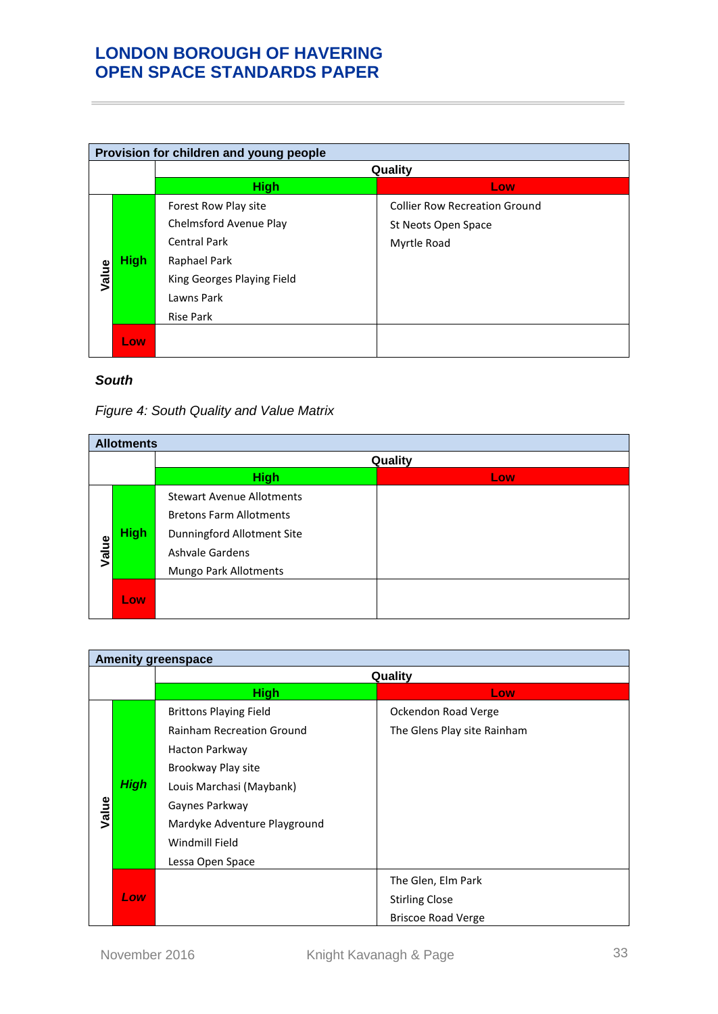|       | Provision for children and young people |                                                       |                                                             |  |
|-------|-----------------------------------------|-------------------------------------------------------|-------------------------------------------------------------|--|
|       |                                         |                                                       | Quality                                                     |  |
|       |                                         | <b>High</b>                                           | Low                                                         |  |
|       |                                         | Forest Row Play site<br>Chelmsford Avenue Play        | <b>Collier Row Recreation Ground</b><br>St Neots Open Space |  |
|       | <b>High</b>                             | <b>Central Park</b><br>Raphael Park                   | Myrtle Road                                                 |  |
| Value |                                         | King Georges Playing Field<br>Lawns Park<br>Rise Park |                                                             |  |
|       | Low.                                    |                                                       |                                                             |  |

### *South*

## *Figure 4: South Quality and Value Matrix*

|       | <b>Allotments</b> |                                                                                                                                                     |     |  |
|-------|-------------------|-----------------------------------------------------------------------------------------------------------------------------------------------------|-----|--|
|       |                   | Quality                                                                                                                                             |     |  |
|       |                   | <b>High</b>                                                                                                                                         | Low |  |
| Value | <b>High</b>       | <b>Stewart Avenue Allotments</b><br><b>Bretons Farm Allotments</b><br>Dunningford Allotment Site<br><b>Ashvale Gardens</b><br>Mungo Park Allotments |     |  |
|       | Low               |                                                                                                                                                     |     |  |

| <b>Amenity greenspace</b> |             |                                  |                             |
|---------------------------|-------------|----------------------------------|-----------------------------|
|                           |             | Quality                          |                             |
|                           |             | <b>High</b>                      | Low <sub>1</sub>            |
|                           |             | <b>Brittons Playing Field</b>    | Ockendon Road Verge         |
|                           |             | <b>Rainham Recreation Ground</b> | The Glens Play site Rainham |
|                           |             | Hacton Parkway                   |                             |
|                           |             | Brookway Play site               |                             |
|                           | <b>High</b> | Louis Marchasi (Maybank)         |                             |
| Value                     |             | Gaynes Parkway                   |                             |
|                           |             | Mardyke Adventure Playground     |                             |
|                           |             | Windmill Field                   |                             |
|                           |             | Lessa Open Space                 |                             |
|                           |             |                                  | The Glen, Elm Park          |
|                           | Low         |                                  | <b>Stirling Close</b>       |
|                           |             |                                  | <b>Briscoe Road Verge</b>   |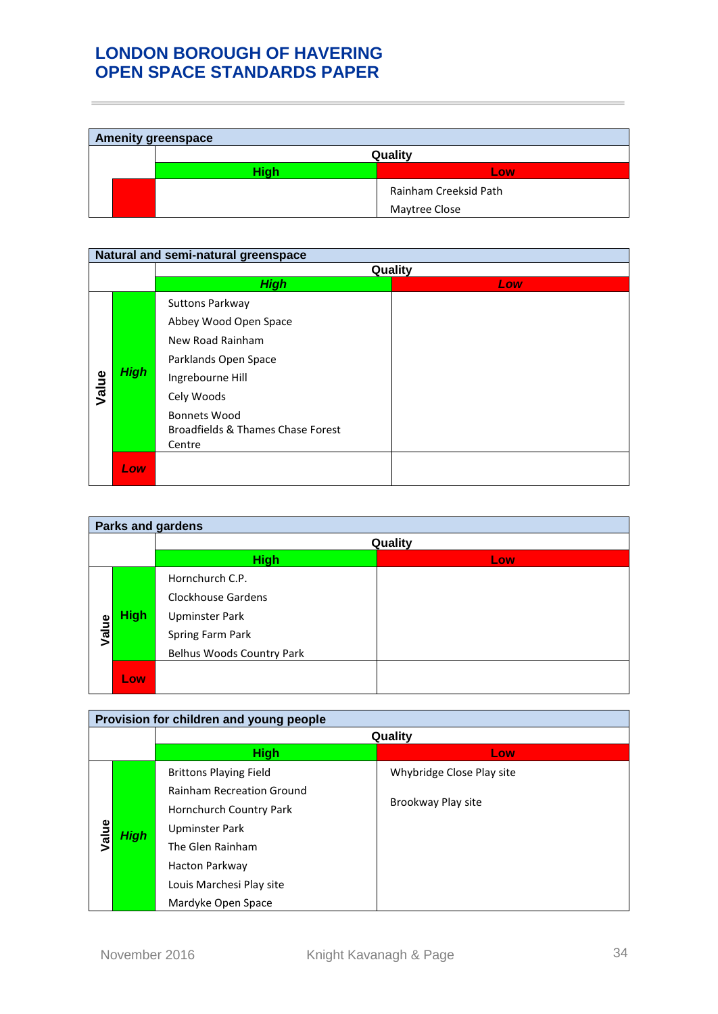| <b>Amenity greenspace</b> |         |                       |  |
|---------------------------|---------|-----------------------|--|
|                           | Quality |                       |  |
|                           | Hiah    | Low                   |  |
|                           |         | Rainham Creeksid Path |  |
|                           |         | Maytree Close         |  |

| Natural and semi-natural greenspace |             |                                                                                                                                                                                                     |     |
|-------------------------------------|-------------|-----------------------------------------------------------------------------------------------------------------------------------------------------------------------------------------------------|-----|
|                                     |             | Quality                                                                                                                                                                                             |     |
|                                     |             | <b>High</b>                                                                                                                                                                                         | Low |
| Value                               | <b>High</b> | <b>Suttons Parkway</b><br>Abbey Wood Open Space<br>New Road Rainham<br>Parklands Open Space<br>Ingrebourne Hill<br>Cely Woods<br><b>Bonnets Wood</b><br>Broadfields & Thames Chase Forest<br>Centre |     |
|                                     | Low         |                                                                                                                                                                                                     |     |

| <b>Parks and gardens</b> |             |                                                                                                                 |     |
|--------------------------|-------------|-----------------------------------------------------------------------------------------------------------------|-----|
|                          |             | Quality                                                                                                         |     |
|                          |             | <b>High</b>                                                                                                     | Low |
| Value                    | <b>High</b> | Hornchurch C.P.<br>Clockhouse Gardens<br><b>Upminster Park</b><br>Spring Farm Park<br>Belhus Woods Country Park |     |
|                          | Low         |                                                                                                                 |     |

| Provision for children and young people |             |                                                                                                                                                                                                               |                                                 |
|-----------------------------------------|-------------|---------------------------------------------------------------------------------------------------------------------------------------------------------------------------------------------------------------|-------------------------------------------------|
|                                         |             | Quality                                                                                                                                                                                                       |                                                 |
|                                         |             | <b>High</b>                                                                                                                                                                                                   | Low                                             |
| Value                                   | <b>High</b> | <b>Brittons Playing Field</b><br><b>Rainham Recreation Ground</b><br>Hornchurch Country Park<br><b>Upminster Park</b><br>The Glen Rainham<br>Hacton Parkway<br>Louis Marchesi Play site<br>Mardyke Open Space | Whybridge Close Play site<br>Brookway Play site |